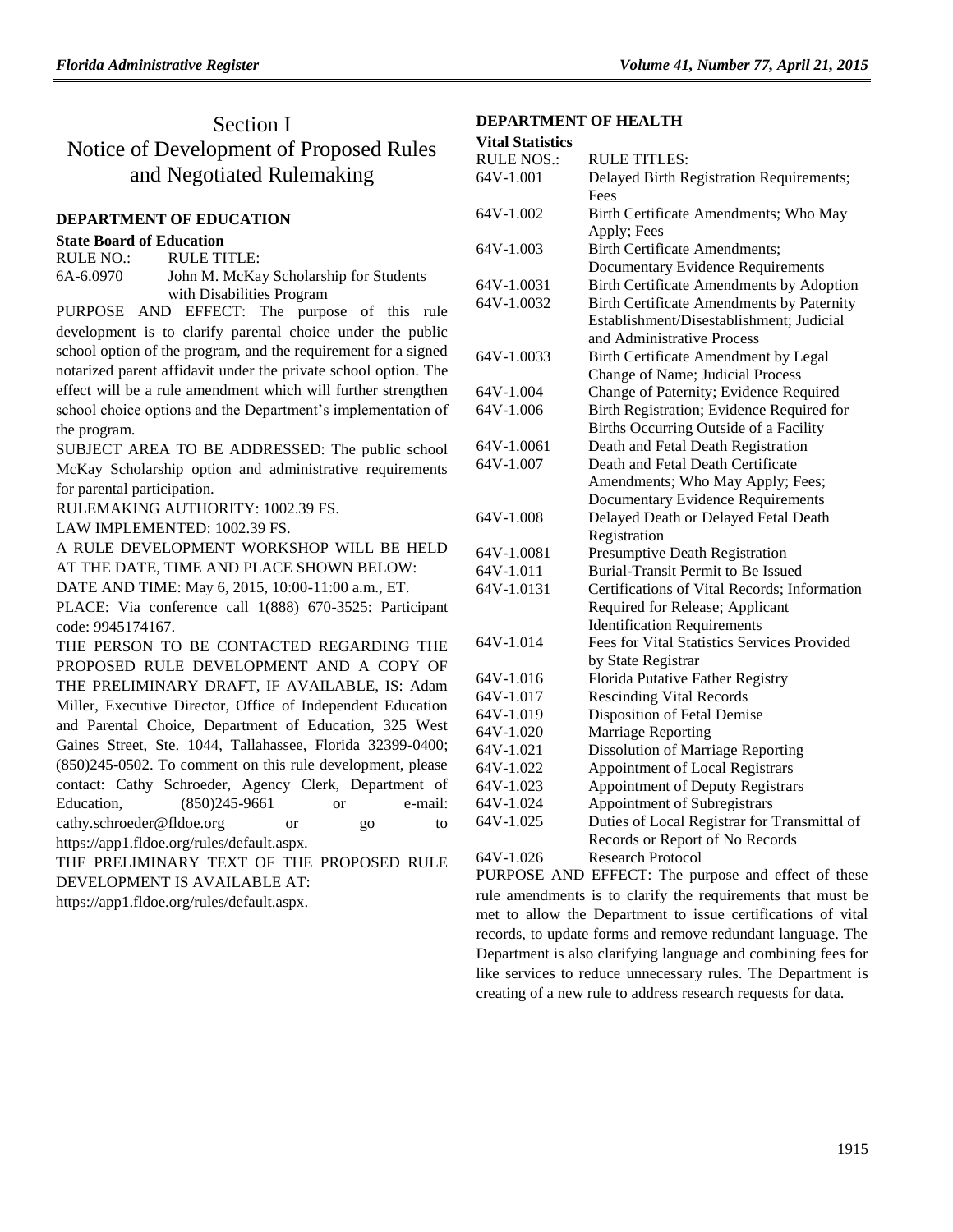# Section I Notice of Development of Proposed Rules and Negotiated Rulemaking

#### **[DEPARTMENT OF EDUCATION](https://www.flrules.org/gateway/department.asp?id=6)**

#### **[State Board of Education](https://www.flrules.org/gateway/organization.asp?id=195)**

| RULE NO.: | RULE TITLE:                            |
|-----------|----------------------------------------|
| 6A-6.0970 | John M. McKay Scholarship for Students |
|           | with Disabilities Program              |

PURPOSE AND EFFECT: The purpose of this rule development is to clarify parental choice under the public school option of the program, and the requirement for a signed notarized parent affidavit under the private school option. The effect will be a rule amendment which will further strengthen school choice options and the Department's implementation of the program.

SUBJECT AREA TO BE ADDRESSED: The public school McKay Scholarship option and administrative requirements for parental participation.

RULEMAKING AUTHORITY: [1002.39](https://www.flrules.org/gateway/statute.asp?id=1002.39) FS.

LAW IMPLEMENTED: [1002.39](https://www.flrules.org/gateway/statute.asp?id=1002.39) FS.

A RULE DEVELOPMENT WORKSHOP WILL BE HELD AT THE DATE, TIME AND PLACE SHOWN BELOW:

DATE AND TIME: May 6, 2015, 10:00-11:00 a.m., ET.

PLACE: Via conference call 1(888) 670-3525: Participant code: 9945174167.

THE PERSON TO BE CONTACTED REGARDING THE PROPOSED RULE DEVELOPMENT AND A COPY OF THE PRELIMINARY DRAFT, IF AVAILABLE, IS: Adam Miller, Executive Director, Office of Independent Education and Parental Choice, Department of Education, 325 West Gaines Street, Ste. 1044, Tallahassee, Florida 32399-0400; (850)245-0502. To comment on this rule development, please contact: Cathy Schroeder, Agency Clerk, Department of Education, (850)245-9661 or e-mail: cathy.schroeder@fldoe.org or go to https://app1.fldoe.org/rules/default.aspx.

THE PRELIMINARY TEXT OF THE PROPOSED RULE DEVELOPMENT IS AVAILABLE AT:

[https://app1.fldoe.org/rules/default.aspx.](https://app1.fldoe.org/rules/default.aspx)

### **[DEPARTMENT OF HEALTH](https://www.flrules.org/gateway/department.asp?id=64)**

| <b>Vital Statistics</b> |
|-------------------------|
|                         |

| <b>RULE NOS.:</b> | <b>RULE TITLES:</b>                          |
|-------------------|----------------------------------------------|
| 64V-1.001         | Delayed Birth Registration Requirements;     |
|                   | Fees                                         |
| 64V-1.002         | Birth Certificate Amendments; Who May        |
|                   | Apply; Fees                                  |
| 64V-1.003         | <b>Birth Certificate Amendments;</b>         |
|                   | <b>Documentary Evidence Requirements</b>     |
| 64V-1.0031        | Birth Certificate Amendments by Adoption     |
| 64V-1.0032        | Birth Certificate Amendments by Paternity    |
|                   | Establishment/Disestablishment; Judicial     |
|                   | and Administrative Process                   |
| 64V-1.0033        | Birth Certificate Amendment by Legal         |
|                   | Change of Name; Judicial Process             |
| 64V-1.004         | Change of Paternity; Evidence Required       |
| 64V-1.006         | Birth Registration; Evidence Required for    |
|                   | Births Occurring Outside of a Facility       |
| 64V-1.0061        | Death and Fetal Death Registration           |
| 64V-1.007         | Death and Fetal Death Certificate            |
|                   | Amendments; Who May Apply; Fees;             |
|                   | <b>Documentary Evidence Requirements</b>     |
| 64V-1.008         | Delayed Death or Delayed Fetal Death         |
|                   | Registration                                 |
| 64V-1.0081        | Presumptive Death Registration               |
| 64V-1.011         | <b>Burial-Transit Permit to Be Issued</b>    |
| 64V-1.0131        | Certifications of Vital Records; Information |
|                   | Required for Release; Applicant              |
|                   | <b>Identification Requirements</b>           |
| 64V-1.014         | Fees for Vital Statistics Services Provided  |
|                   | by State Registrar                           |
| 64V-1.016         | Florida Putative Father Registry             |
| 64V-1.017         | <b>Rescinding Vital Records</b>              |
| 64V-1.019         | Disposition of Fetal Demise                  |
| 64V-1.020         | Marriage Reporting                           |
| 64V-1.021         | <b>Dissolution of Marriage Reporting</b>     |
| 64V-1.022         | Appointment of Local Registrars              |
| 64V-1.023         | <b>Appointment of Deputy Registrars</b>      |
| 64V-1.024         | Appointment of Subregistrars                 |
| 64V-1.025         | Duties of Local Registrar for Transmittal of |
|                   | Records or Report of No Records              |
| 64V-1.026         | <b>Research Protocol</b>                     |

PURPOSE AND EFFECT: The purpose and effect of these rule amendments is to clarify the requirements that must be met to allow the Department to issue certifications of vital records, to update forms and remove redundant language. The Department is also clarifying language and combining fees for like services to reduce unnecessary rules. The Department is creating of a new rule to address research requests for data.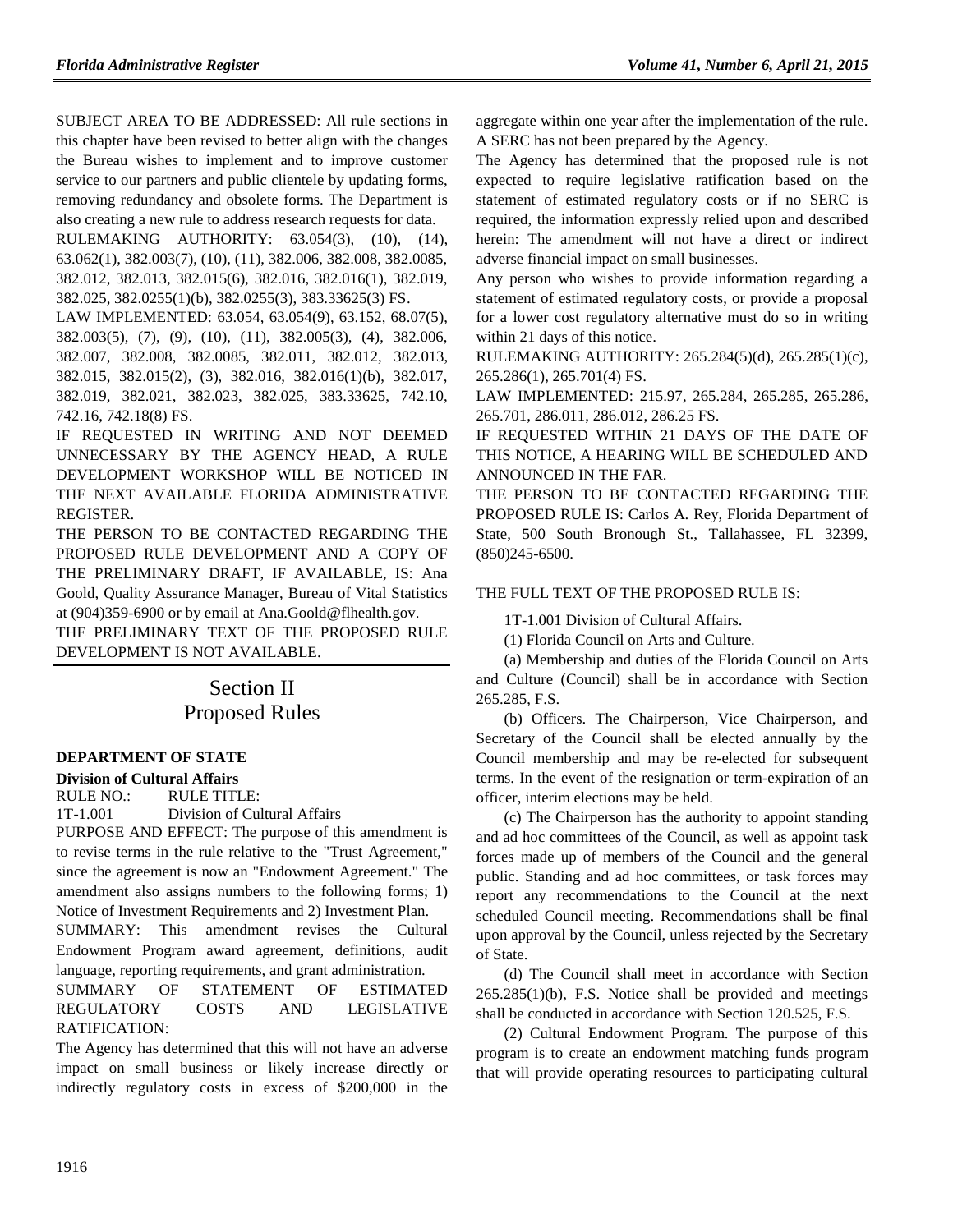SUBJECT AREA TO BE ADDRESSED: All rule sections in this chapter have been revised to better align with the changes the Bureau wishes to implement and to improve customer service to our partners and public clientele by updating forms, removing redundancy and obsolete forms. The Department is also creating a new rule to address research requests for data.

RULEMAKING AUTHORITY: [63.054\(3\), \(10\),](https://www.flrules.org/gateway/cfr.asp?id=63.054(3),%20(10),%20(14),%2063.062(1),%20382.003(7),%20(10),%20(11),%20382.006,%20382.008,%20382.0085,%20382.012,%20382.013,%20382.015(6),%20382.016,%20382.016(1),%20382.019,%20382.025,%20382.0255(1)(b),%20382.0255(3),%20383.33625(3),%20FS) (14), [63.062\(1\), 382.003\(7\), \(10\), \(11\), 382.006, 382.008, 382.0085,](https://www.flrules.org/gateway/cfr.asp?id=63.054(3),%20(10),%20(14),%2063.062(1),%20382.003(7),%20(10),%20(11),%20382.006,%20382.008,%20382.0085,%20382.012,%20382.013,%20382.015(6),%20382.016,%20382.016(1),%20382.019,%20382.025,%20382.0255(1)(b),%20382.0255(3),%20383.33625(3),%20FS)  [382.012, 382.013, 382.015\(6\), 382.016, 382.016\(1\), 382.019,](https://www.flrules.org/gateway/cfr.asp?id=63.054(3),%20(10),%20(14),%2063.062(1),%20382.003(7),%20(10),%20(11),%20382.006,%20382.008,%20382.0085,%20382.012,%20382.013,%20382.015(6),%20382.016,%20382.016(1),%20382.019,%20382.025,%20382.0255(1)(b),%20382.0255(3),%20383.33625(3),%20FS)  [382.025, 382.0255\(1\)\(b\), 382.0255\(3\), 383.33625\(3\) FS.](https://www.flrules.org/gateway/cfr.asp?id=63.054(3),%20(10),%20(14),%2063.062(1),%20382.003(7),%20(10),%20(11),%20382.006,%20382.008,%20382.0085,%20382.012,%20382.013,%20382.015(6),%20382.016,%20382.016(1),%20382.019,%20382.025,%20382.0255(1)(b),%20382.0255(3),%20383.33625(3),%20FS)

LAW IMPLEMENTED: [63.054, 63.054\(9\), 63.152, 68.07\(5\),](https://www.flrules.org/gateway/cfr.asp?id=63.054,%2063.054(9),%2063.152,%2068.07(5),%20382.003(5),%20(7),%20(9),%20(10),%20(11),%20382.005(3),%20(4),%20382.006,%20%20382.007,%20382.008,%20382.0085,%20382.011,%20382.012,%20382.013,%20382.015,%20382.015(2),%20(3),%20382.016,%20382.016(1)(b),%20382.017,%20382.019,%20382.021,%20382.023,%20382.025,%20383.33625,%20742.10,%20742.16,%20742.18(8),%20FS)  [382.003\(5\), \(7\), \(9\), \(10\), \(11\), 382.005\(3\), \(4\), 382.006,](https://www.flrules.org/gateway/cfr.asp?id=63.054,%2063.054(9),%2063.152,%2068.07(5),%20382.003(5),%20(7),%20(9),%20(10),%20(11),%20382.005(3),%20(4),%20382.006,%20%20382.007,%20382.008,%20382.0085,%20382.011,%20382.012,%20382.013,%20382.015,%20382.015(2),%20(3),%20382.016,%20382.016(1)(b),%20382.017,%20382.019,%20382.021,%20382.023,%20382.025,%20383.33625,%20742.10,%20742.16,%20742.18(8),%20FS)  [382.007, 382.008, 382.0085, 382.011, 382.012, 382.013,](https://www.flrules.org/gateway/cfr.asp?id=63.054,%2063.054(9),%2063.152,%2068.07(5),%20382.003(5),%20(7),%20(9),%20(10),%20(11),%20382.005(3),%20(4),%20382.006,%20%20382.007,%20382.008,%20382.0085,%20382.011,%20382.012,%20382.013,%20382.015,%20382.015(2),%20(3),%20382.016,%20382.016(1)(b),%20382.017,%20382.019,%20382.021,%20382.023,%20382.025,%20383.33625,%20742.10,%20742.16,%20742.18(8),%20FS)  [382.015, 382.015\(2\), \(3\), 382.016, 382.016\(1\)\(b\), 382.017,](https://www.flrules.org/gateway/cfr.asp?id=63.054,%2063.054(9),%2063.152,%2068.07(5),%20382.003(5),%20(7),%20(9),%20(10),%20(11),%20382.005(3),%20(4),%20382.006,%20%20382.007,%20382.008,%20382.0085,%20382.011,%20382.012,%20382.013,%20382.015,%20382.015(2),%20(3),%20382.016,%20382.016(1)(b),%20382.017,%20382.019,%20382.021,%20382.023,%20382.025,%20383.33625,%20742.10,%20742.16,%20742.18(8),%20FS)  [382.019, 382.021, 382.023, 382.025, 383.33625, 742.10,](https://www.flrules.org/gateway/cfr.asp?id=63.054,%2063.054(9),%2063.152,%2068.07(5),%20382.003(5),%20(7),%20(9),%20(10),%20(11),%20382.005(3),%20(4),%20382.006,%20%20382.007,%20382.008,%20382.0085,%20382.011,%20382.012,%20382.013,%20382.015,%20382.015(2),%20(3),%20382.016,%20382.016(1)(b),%20382.017,%20382.019,%20382.021,%20382.023,%20382.025,%20383.33625,%20742.10,%20742.16,%20742.18(8),%20FS)  [742.16, 742.18\(8\) FS.](https://www.flrules.org/gateway/cfr.asp?id=63.054,%2063.054(9),%2063.152,%2068.07(5),%20382.003(5),%20(7),%20(9),%20(10),%20(11),%20382.005(3),%20(4),%20382.006,%20%20382.007,%20382.008,%20382.0085,%20382.011,%20382.012,%20382.013,%20382.015,%20382.015(2),%20(3),%20382.016,%20382.016(1)(b),%20382.017,%20382.019,%20382.021,%20382.023,%20382.025,%20383.33625,%20742.10,%20742.16,%20742.18(8),%20FS)

IF REQUESTED IN WRITING AND NOT DEEMED UNNECESSARY BY THE AGENCY HEAD, A RULE DEVELOPMENT WORKSHOP WILL BE NOTICED IN THE NEXT AVAILABLE FLORIDA ADMINISTRATIVE REGISTER.

THE PERSON TO BE CONTACTED REGARDING THE PROPOSED RULE DEVELOPMENT AND A COPY OF THE PRELIMINARY DRAFT, IF AVAILABLE, IS: Ana Goold, Quality Assurance Manager, Bureau of Vital Statistics at (904)359-6900 or by email at Ana.Goold@flhealth.gov.

THE PRELIMINARY TEXT OF THE PROPOSED RULE DEVELOPMENT IS NOT AVAILABLE.

# Section II Proposed Rules

### **[DEPARTMENT OF STATE](https://www.flrules.org/gateway/department.asp?id=1)**

#### **[Division of Cultural Affairs](https://www.flrules.org/gateway/organization.asp?id=17)**

RULE NO.: RULE TITLE:

[1T-1.001](https://www.flrules.org/gateway/ruleNo.asp?id=1T-1.001) Division of Cultural Affairs

PURPOSE AND EFFECT: The purpose of this amendment is to revise terms in the rule relative to the "Trust Agreement," since the agreement is now an "Endowment Agreement." The amendment also assigns numbers to the following forms; 1) Notice of Investment Requirements and 2) Investment Plan.

SUMMARY: This amendment revises the Cultural Endowment Program award agreement, definitions, audit language, reporting requirements, and grant administration.

SUMMARY OF STATEMENT OF ESTIMATED REGULATORY COSTS AND LEGISLATIVE RATIFICATION:

The Agency has determined that this will not have an adverse impact on small business or likely increase directly or indirectly regulatory costs in excess of \$200,000 in the

aggregate within one year after the implementation of the rule. A SERC has not been prepared by the Agency.

The Agency has determined that the proposed rule is not expected to require legislative ratification based on the statement of estimated regulatory costs or if no SERC is required, the information expressly relied upon and described herein: The amendment will not have a direct or indirect adverse financial impact on small businesses.

Any person who wishes to provide information regarding a statement of estimated regulatory costs, or provide a proposal for a lower cost regulatory alternative must do so in writing within 21 days of this notice.

RULEMAKING AUTHORITY: [265.284\(5\)\(d\), 265.285\(1\)\(c\),](https://www.flrules.org/gateway/cfr.asp?id=265.284(5)(d),%20265.285(1)(c),%20265.286(1),%20265.701(4),%20FS)  [265.286\(1\), 265.701\(4\) FS.](https://www.flrules.org/gateway/cfr.asp?id=265.284(5)(d),%20265.285(1)(c),%20265.286(1),%20265.701(4),%20FS)

LAW IMPLEMENTED: [215.97,](https://www.flrules.org/gateway/statute.asp?id=215.97) [265.284,](https://www.flrules.org/gateway/statute.asp?id=%20265.284) [265.285,](https://www.flrules.org/gateway/statute.asp?id=%20265.285) [265.286,](https://www.flrules.org/gateway/statute.asp?id=%20265.286) [265.701,](https://www.flrules.org/gateway/statute.asp?id=%20265.701) [286.011,](https://www.flrules.org/gateway/statute.asp?id=%20286.011) [286.012,](https://www.flrules.org/gateway/statute.asp?id=%20286.012) [286.25](https://www.flrules.org/gateway/statute.asp?id=%20286.25) FS.

IF REQUESTED WITHIN 21 DAYS OF THE DATE OF THIS NOTICE, A HEARING WILL BE SCHEDULED AND ANNOUNCED IN THE FAR.

THE PERSON TO BE CONTACTED REGARDING THE PROPOSED RULE IS: Carlos A. Rey, Florida Department of State, 500 South Bronough St., Tallahassee, FL 32399, (850)245-6500.

### THE FULL TEXT OF THE PROPOSED RULE IS:

1T-1.001 Division of Cultural Affairs.

(1) Florida Council on Arts and Culture.

(a) Membership and duties of the Florida Council on Arts and Culture (Council) shall be in accordance with Section 265.285, F.S.

(b) Officers. The Chairperson, Vice Chairperson, and Secretary of the Council shall be elected annually by the Council membership and may be re-elected for subsequent terms. In the event of the resignation or term-expiration of an officer, interim elections may be held.

(c) The Chairperson has the authority to appoint standing and ad hoc committees of the Council, as well as appoint task forces made up of members of the Council and the general public. Standing and ad hoc committees, or task forces may report any recommendations to the Council at the next scheduled Council meeting. Recommendations shall be final upon approval by the Council, unless rejected by the Secretary of State.

(d) The Council shall meet in accordance with Section  $265.285(1)(b)$ , F.S. Notice shall be provided and meetings shall be conducted in accordance with Section 120.525, F.S.

(2) Cultural Endowment Program. The purpose of this program is to create an endowment matching funds program that will provide operating resources to participating cultural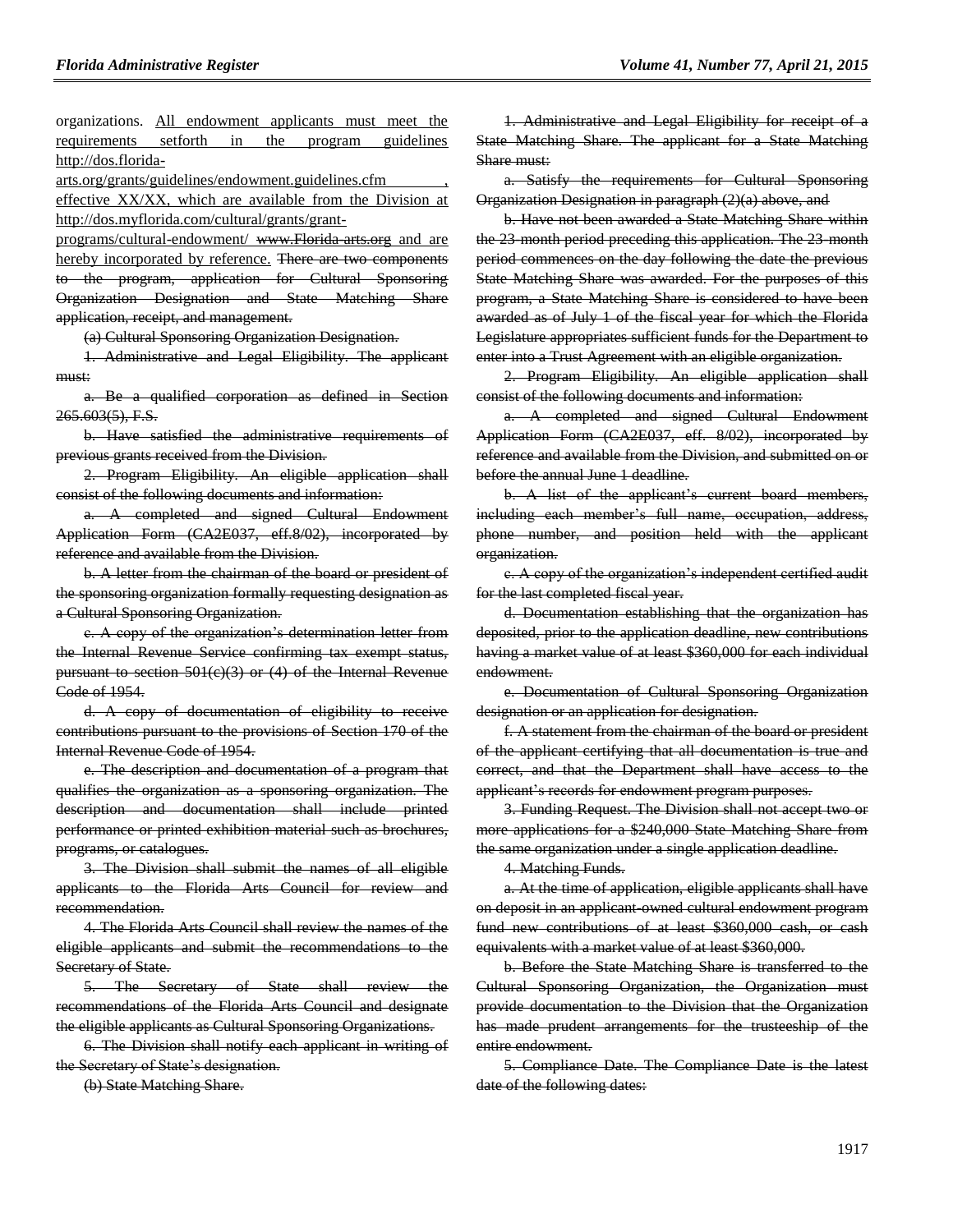organizations. All endowment applicants must meet the requirements setforth in the program guidelines [http://dos.florida-](http://dos.florida-arts.org/grants/guidelines/endowment.guidelines.cfm)

[arts.org/grants/guidelines/endowment.guidelines.cfm](http://dos.florida-arts.org/grants/guidelines/endowment.guidelines.cfm) , effective XX/XX, which are available from the Division at http://dos.myflorida.com/cultural/grants/grant-

programs/cultural-endowment/ www.Florida arts.org and are hereby incorporated by reference. There are two components to the program, application for Cultural Sponsoring Organization Designation and State Matching Share application, receipt, and management.

(a) Cultural Sponsoring Organization Designation.

1. Administrative and Legal Eligibility. The applicant must:

a. Be a qualified corporation as defined in Section 265.603(5), F.S.

b. Have satisfied the administrative requirements of previous grants received from the Division.

2. Program Eligibility. An eligible application shall consist of the following documents and information:

a. A completed and signed Cultural Endowment Application Form (CA2E037, eff.8/02), incorporated by reference and available from the Division.

b. A letter from the chairman of the board or president of the sponsoring organization formally requesting designation as a Cultural Sponsoring Organization.

c. A copy of the organization's determination letter from the Internal Revenue Service confirming tax exempt status, pursuant to section 501(c)(3) or (4) of the Internal Revenue Code of 1954.

d. A copy of documentation of eligibility to receive contributions pursuant to the provisions of Section 170 of the Internal Revenue Code of 1954.

e. The description and documentation of a program that qualifies the organization as a sponsoring organization. The description and documentation shall include printed performance or printed exhibition material such as brochures, programs, or catalogues.

3. The Division shall submit the names of all eligible applicants to the Florida Arts Council for review and recommendation.

4. The Florida Arts Council shall review the names of the eligible applicants and submit the recommendations to the Secretary of State.

5. The Secretary of State shall review the recommendations of the Florida Arts Council and designate the eligible applicants as Cultural Sponsoring Organizations.

6. The Division shall notify each applicant in writing of the Secretary of State's designation.

(b) State Matching Share.

1. Administrative and Legal Eligibility for receipt of a State Matching Share. The applicant for a State Matching Share must:

a. Satisfy the requirements for Cultural Sponsoring Organization Designation in paragraph (2)(a) above, and

b. Have not been awarded a State Matching Share within the 23-month period preceding this application. The 23-month period commences on the day following the date the previous State Matching Share was awarded. For the purposes of this program, a State Matching Share is considered to have been awarded as of July 1 of the fiscal year for which the Florida Legislature appropriates sufficient funds for the Department to enter into a Trust Agreement with an eligible organization.

2. Program Eligibility. An eligible application shall consist of the following documents and information:

a. A completed and signed Cultural Endowment Application Form (CA2E037, eff. 8/02), incorporated by reference and available from the Division, and submitted on or before the annual June 1 deadline.

b. A list of the applicant's current board members, including each member's full name, occupation, address, phone number, and position held with the applicant organization.

c. A copy of the organization's independent certified audit for the last completed fiscal year.

d. Documentation establishing that the organization has deposited, prior to the application deadline, new contributions having a market value of at least \$360,000 for each individual endowment.

e. Documentation of Cultural Sponsoring Organization designation or an application for designation.

f. A statement from the chairman of the board or president of the applicant certifying that all documentation is true and correct, and that the Department shall have access to the applicant's records for endowment program purposes.

3. Funding Request. The Division shall not accept two or more applications for a \$240,000 State Matching Share from the same organization under a single application deadline.

4. Matching Funds.

a. At the time of application, eligible applicants shall have on deposit in an applicant-owned cultural endowment program fund new contributions of at least \$360,000 cash, or cash equivalents with a market value of at least \$360,000.

b. Before the State Matching Share is transferred to the Cultural Sponsoring Organization, the Organization must provide documentation to the Division that the Organization has made prudent arrangements for the trusteeship of the entire endowment.

5. Compliance Date. The Compliance Date is the latest date of the following dates: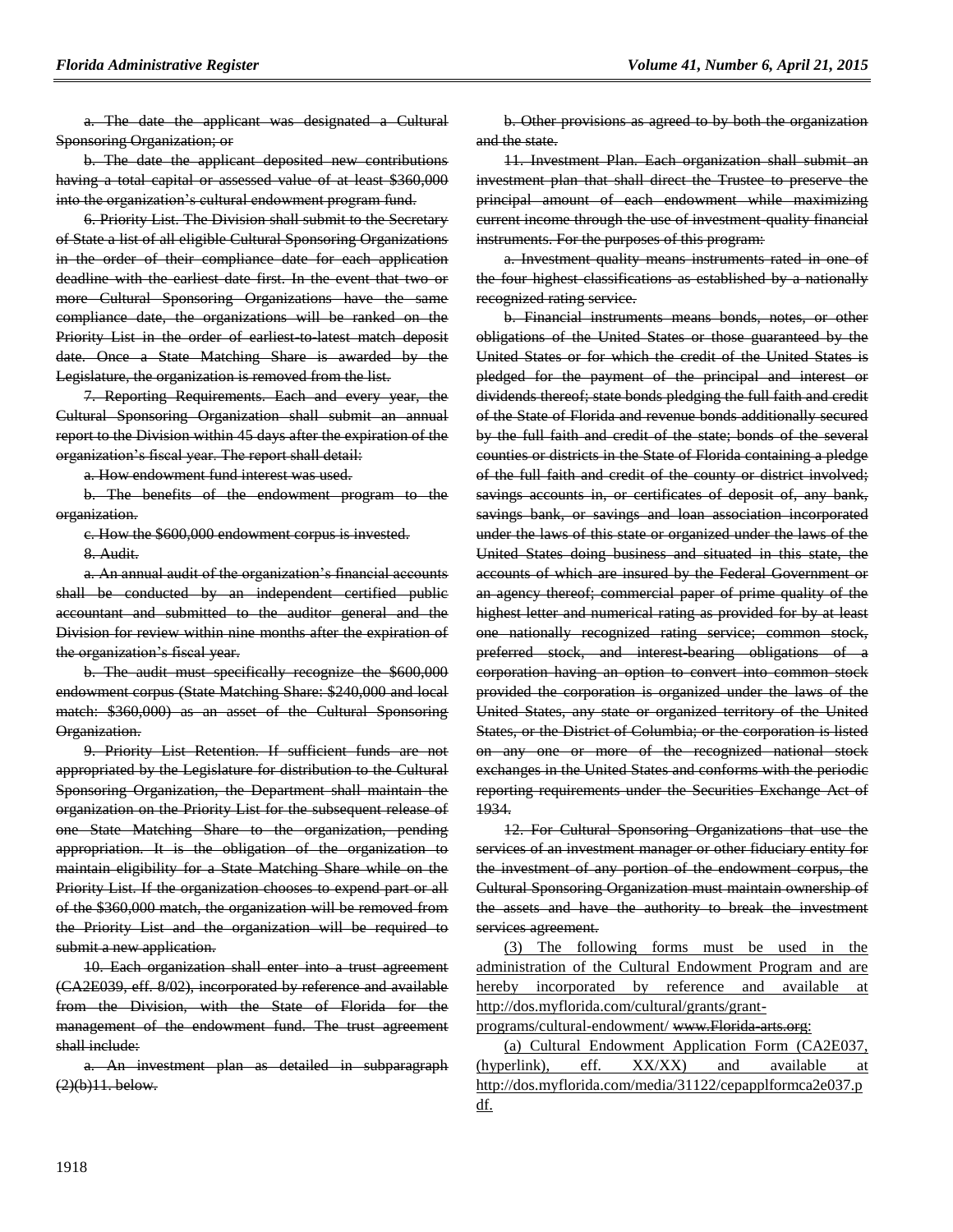a. The date the applicant was designated a Cultural Sponsoring Organization; or

b. The date the applicant deposited new contributions having a total capital or assessed value of at least \$360,000 into the organization's cultural endowment program fund.

6. Priority List. The Division shall submit to the Secretary of State a list of all eligible Cultural Sponsoring Organizations in the order of their compliance date for each application deadline with the earliest date first. In the event that two or more Cultural Sponsoring Organizations have the same compliance date, the organizations will be ranked on the Priority List in the order of earliest to latest match deposit date. Once a State Matching Share is awarded by the Legislature, the organization is removed from the list.

7. Reporting Requirements. Each and every year, the Cultural Sponsoring Organization shall submit an annual report to the Division within 45 days after the expiration of the organization's fiscal year. The report shall detail:

a. How endowment fund interest was used.

b. The benefits of the endowment program to the organization.

c. How the \$600,000 endowment corpus is invested.

8. Audit.

a. An annual audit of the organization's financial accounts shall be conducted by an independent certified public accountant and submitted to the auditor general and the Division for review within nine months after the expiration of the organization's fiscal year.

b. The audit must specifically recognize the \$600,000 endowment corpus (State Matching Share: \$240,000 and local match: \$360,000) as an asset of the Cultural Sponsoring Organization.

9. Priority List Retention. If sufficient funds are not appropriated by the Legislature for distribution to the Cultural Sponsoring Organization, the Department shall maintain the organization on the Priority List for the subsequent release of one State Matching Share to the organization, pending appropriation. It is the obligation of the organization to maintain eligibility for a State Matching Share while on the Priority List. If the organization chooses to expend part or all of the \$360,000 match, the organization will be removed from the Priority List and the organization will be required to submit a new application.

10. Each organization shall enter into a trust agreement (CA2E039, eff. 8/02), incorporated by reference and available from the Division, with the State of Florida for the management of the endowment fund. The trust agreement shall include:

a. An investment plan as detailed in subparagraph  $(2)(b)11.$  below.

b. Other provisions as agreed to by both the organization and the state.

11. Investment Plan. Each organization shall submit an investment plan that shall direct the Trustee to preserve the principal amount of each endowment while maximizing current income through the use of investment quality financial instruments. For the purposes of this program:

a. Investment quality means instruments rated in one of the four highest classifications as established by a nationally recognized rating service.

b. Financial instruments means bonds, notes, or other obligations of the United States or those guaranteed by the United States or for which the credit of the United States is pledged for the payment of the principal and interest or dividends thereof; state bonds pledging the full faith and credit of the State of Florida and revenue bonds additionally secured by the full faith and credit of the state; bonds of the several counties or districts in the State of Florida containing a pledge of the full faith and credit of the county or district involved; savings accounts in, or certificates of deposit of, any bank, savings bank, or savings and loan association incorporated under the laws of this state or organized under the laws of the United States doing business and situated in this state, the accounts of which are insured by the Federal Government or an agency thereof; commercial paper of prime quality of the highest letter and numerical rating as provided for by at least one nationally recognized rating service; common stock, preferred stock, and interest-bearing obligations of a corporation having an option to convert into common stock provided the corporation is organized under the laws of the United States, any state or organized territory of the United States, or the District of Columbia; or the corporation is listed on any one or more of the recognized national stock exchanges in the United States and conforms with the periodic reporting requirements under the Securities Exchange Act of 1934.

12. For Cultural Sponsoring Organizations that use the services of an investment manager or other fiduciary entity for the investment of any portion of the endowment corpus, the Cultural Sponsoring Organization must maintain ownership of the assets and have the authority to break the investment services agreement.

(3) The following forms must be used in the administration of the Cultural Endowment Program and are hereby incorporated by reference and available at http://dos.myflorida.com/cultural/grants/grant-

programs/cultural-endowment/ www.Florida arts.org:

(a) Cultural Endowment Application Form (CA2E037, (hyperlink), eff. XX/XX) and available at http://dos.myflorida.com/media/31122/cepapplformca2e037.p df.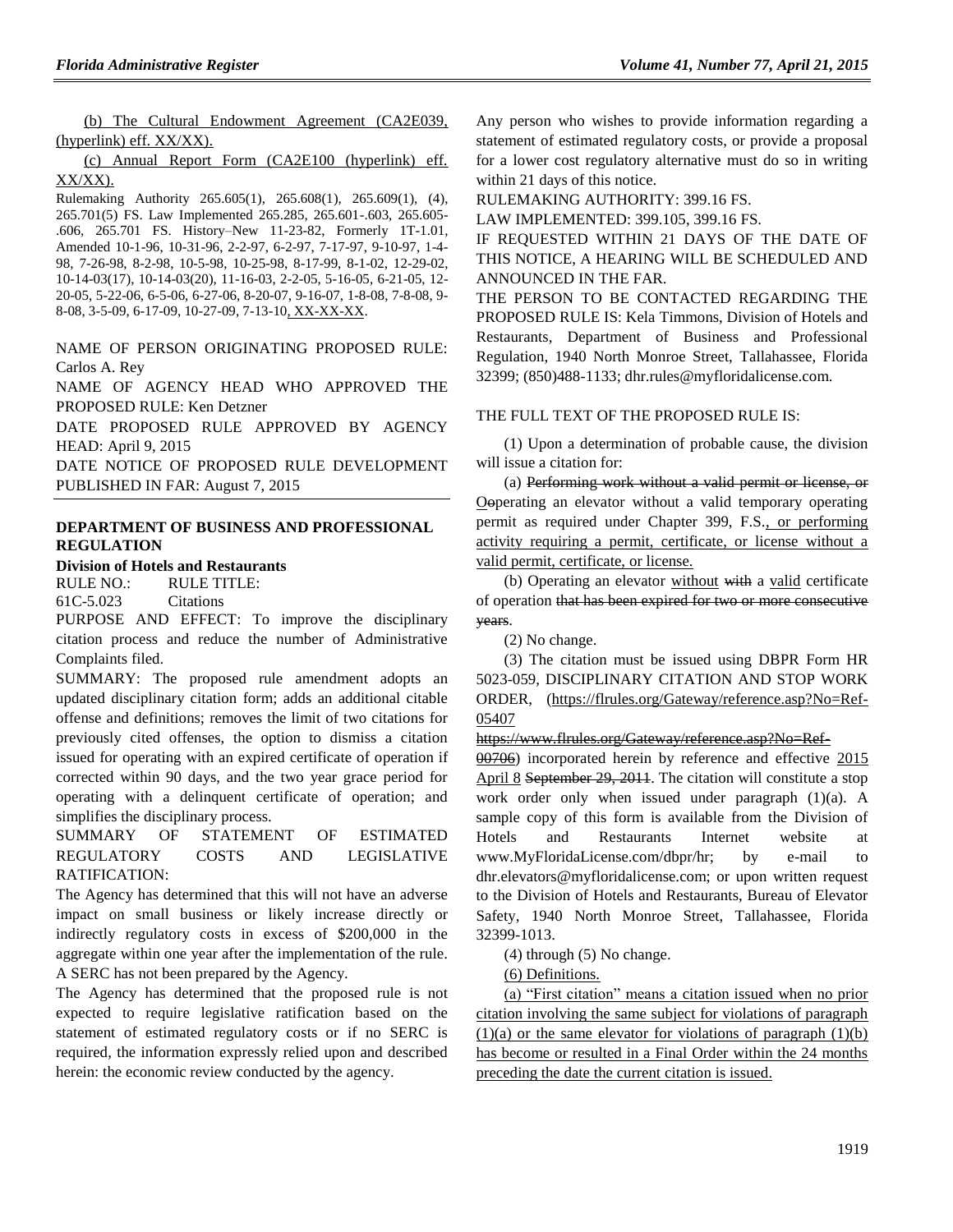(b) The Cultural Endowment Agreement (CA2E039, (hyperlink) eff. XX/XX).

(c) Annual Report Form (CA2E100 (hyperlink) eff. XX/XX).

Rulemaking Authority 265.605(1), 265.608(1), 265.609(1), (4), 265.701(5) FS. Law Implemented 265.285, 265.601-.603, 265.605- .606, 265.701 FS. History–New 11-23-82, Formerly 1T-1.01, Amended 10-1-96, 10-31-96, 2-2-97, 6-2-97, 7-17-97, 9-10-97, 1-4- 98, 7-26-98, 8-2-98, 10-5-98, 10-25-98, 8-17-99, 8-1-02, 12-29-02, 10-14-03(17), 10-14-03(20), 11-16-03, 2-2-05, 5-16-05, 6-21-05, 12- 20-05, 5-22-06, 6-5-06, 6-27-06, 8-20-07, 9-16-07, 1-8-08, 7-8-08, 9- 8-08, 3-5-09, 6-17-09, 10-27-09, 7-13-10, XX-XX-XX.

NAME OF PERSON ORIGINATING PROPOSED RULE: Carlos A. Rey

NAME OF AGENCY HEAD WHO APPROVED THE PROPOSED RULE: Ken Detzner

DATE PROPOSED RULE APPROVED BY AGENCY HEAD: April 9, 2015

DATE NOTICE OF PROPOSED RULE DEVELOPMENT PUBLISHED IN FAR: August 7, 2015

### **[DEPARTMENT OF BUSINESS AND PROFESSIONAL](https://www.flrules.org/gateway/department.asp?id=61)  [REGULATION](https://www.flrules.org/gateway/department.asp?id=61)**

#### **[Division of Hotels and Restaurants](https://www.flrules.org/gateway/organization.asp?id=249)**

RULE NO.: RULE TITLE:

[61C-5.023](https://www.flrules.org/gateway/ruleNo.asp?id=61C-5.023) Citations

PURPOSE AND EFFECT: To improve the disciplinary citation process and reduce the number of Administrative Complaints filed.

SUMMARY: The proposed rule amendment adopts an updated disciplinary citation form; adds an additional citable offense and definitions; removes the limit of two citations for previously cited offenses, the option to dismiss a citation issued for operating with an expired certificate of operation if corrected within 90 days, and the two year grace period for operating with a delinquent certificate of operation; and simplifies the disciplinary process.

SUMMARY OF STATEMENT OF ESTIMATED REGULATORY COSTS AND LEGISLATIVE RATIFICATION:

The Agency has determined that this will not have an adverse impact on small business or likely increase directly or indirectly regulatory costs in excess of \$200,000 in the aggregate within one year after the implementation of the rule. A SERC has not been prepared by the Agency.

The Agency has determined that the proposed rule is not expected to require legislative ratification based on the statement of estimated regulatory costs or if no SERC is required, the information expressly relied upon and described herein: the economic review conducted by the agency.

Any person who wishes to provide information regarding a statement of estimated regulatory costs, or provide a proposal for a lower cost regulatory alternative must do so in writing within 21 days of this notice.

RULEMAKING AUTHORITY: [399.16](https://www.flrules.org/gateway/statute.asp?id=399.16) FS.

LAW IMPLEMENTED: [399.105,](https://www.flrules.org/gateway/statute.asp?id=399.105) [399.16](https://www.flrules.org/gateway/statute.asp?id=%20399.16) FS.

IF REQUESTED WITHIN 21 DAYS OF THE DATE OF THIS NOTICE, A HEARING WILL BE SCHEDULED AND ANNOUNCED IN THE FAR.

THE PERSON TO BE CONTACTED REGARDING THE PROPOSED RULE IS: Kela Timmons, Division of Hotels and Restaurants, Department of Business and Professional Regulation, 1940 North Monroe Street, Tallahassee, Florida 32399; (850)488-1133; dhr.rules@myfloridalicense.com.

#### THE FULL TEXT OF THE PROPOSED RULE IS:

(1) Upon a determination of probable cause, the division will issue a citation for:

(a) Performing work without a valid permit or license, or Ooperating an elevator without a valid temporary operating permit as required under Chapter 399, F.S., or performing activity requiring a permit, certificate, or license without a valid permit, certificate, or license.

(b) Operating an elevator without with a valid certificate of operation that has been expired for two or more consecutive years.

(2) No change.

(3) The citation must be issued using DBPR Form HR 5023-059, DISCIPLINARY CITATION AND STOP WORK ORDER, [\(https://flrules.org/Gateway/reference.asp?No=Ref-](https://flrules.org/Gateway/reference.asp?No=Ref-05407)[05407](https://flrules.org/Gateway/reference.asp?No=Ref-05407)

[https://www.flrules.org/Gateway/reference.asp?No=Ref-](https://www.flrules.org/Gateway/reference.asp?No=Ref-00706)

[00706\)](https://www.flrules.org/Gateway/reference.asp?No=Ref-00706) incorporated herein by reference and effective 2015 April 8 September 29, 2011. The citation will constitute a stop work order only when issued under paragraph (1)(a). A sample copy of this form is available from the Division of Hotels and Restaurants Internet website at [www.MyFloridaLicense.com/dbpr/hr;](http://www.myfloridalicense.com/dbpr/hr) by e-mail to [dhr.elevators@m](mailto:dhr.elevators@)yfloridalicense.com; or upon written request to the Division of Hotels and Restaurants, Bureau of Elevator Safety, 1940 North Monroe Street, Tallahassee, Florida 32399-1013.

(4) through (5) No change.

(6) Definitions.

(a) "First citation" means a citation issued when no prior citation involving the same subject for violations of paragraph  $(1)(a)$  or the same elevator for violations of paragraph  $(1)(b)$ has become or resulted in a Final Order within the 24 months preceding the date the current citation is issued.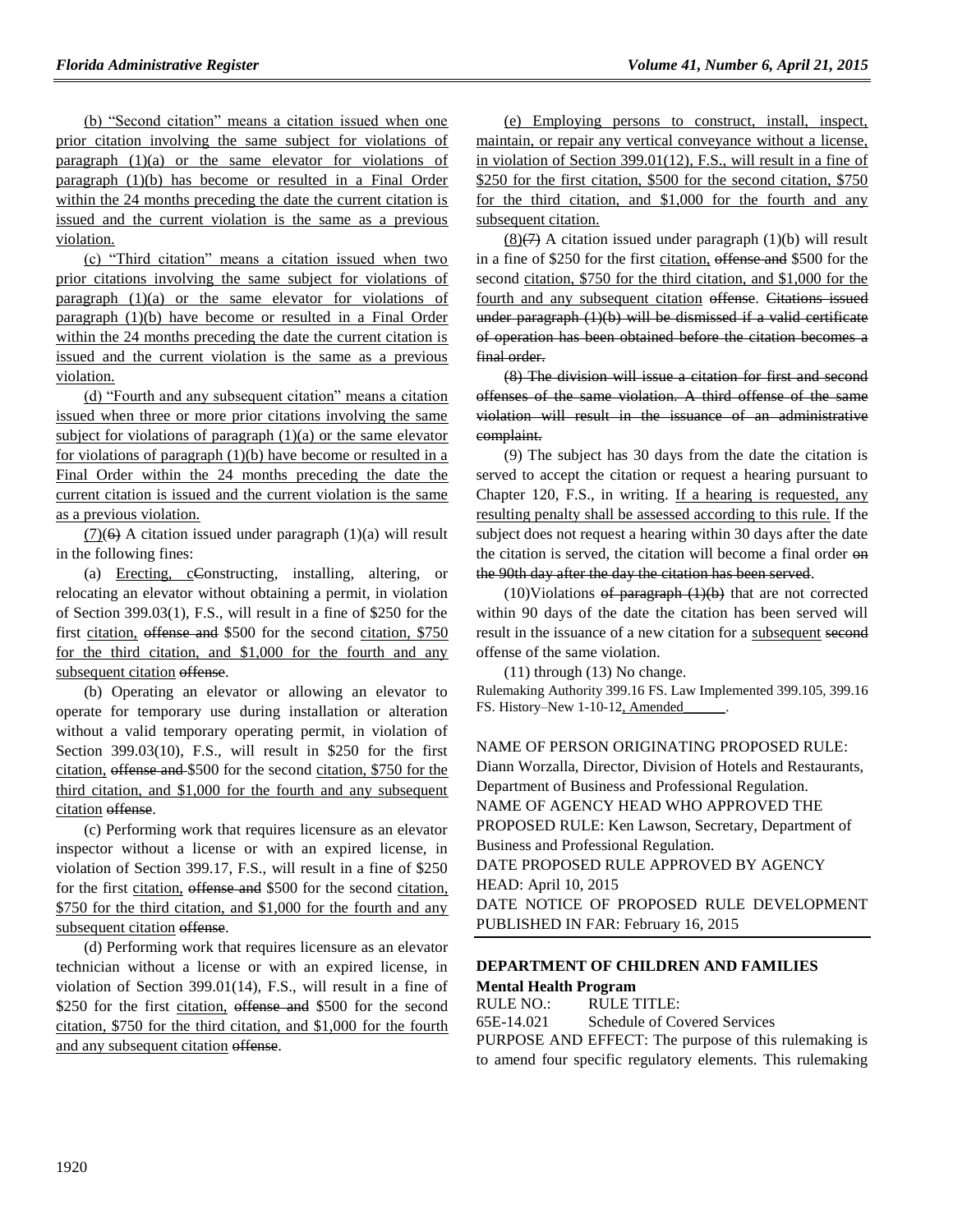(b) "Second citation" means a citation issued when one prior citation involving the same subject for violations of paragraph (1)(a) or the same elevator for violations of paragraph (1)(b) has become or resulted in a Final Order within the 24 months preceding the date the current citation is issued and the current violation is the same as a previous violation.

(c) "Third citation" means a citation issued when two prior citations involving the same subject for violations of paragraph (1)(a) or the same elevator for violations of paragraph (1)(b) have become or resulted in a Final Order within the 24 months preceding the date the current citation is issued and the current violation is the same as a previous violation.

(d) "Fourth and any subsequent citation" means a citation issued when three or more prior citations involving the same subject for violations of paragraph  $(1)(a)$  or the same elevator for violations of paragraph (1)(b) have become or resulted in a Final Order within the 24 months preceding the date the current citation is issued and the current violation is the same as a previous violation.

 $(7)(6)$  A citation issued under paragraph  $(1)(a)$  will result in the following fines:

(a) Erecting, cConstructing, installing, altering, or relocating an elevator without obtaining a permit, in violation of Section 399.03(1), F.S., will result in a fine of \$250 for the first citation, offense and \$500 for the second citation, \$750 for the third citation, and \$1,000 for the fourth and any subsequent citation offense.

(b) Operating an elevator or allowing an elevator to operate for temporary use during installation or alteration without a valid temporary operating permit, in violation of Section 399.03(10), F.S., will result in \$250 for the first citation, offense and \$500 for the second citation, \$750 for the third citation, and \$1,000 for the fourth and any subsequent citation offense.

(c) Performing work that requires licensure as an elevator inspector without a license or with an expired license, in violation of Section 399.17, F.S., will result in a fine of \$250 for the first citation, offense and \$500 for the second citation, \$750 for the third citation, and \$1,000 for the fourth and any subsequent citation offense.

(d) Performing work that requires licensure as an elevator technician without a license or with an expired license, in violation of Section 399.01(14), F.S., will result in a fine of \$250 for the first citation, offense and \$500 for the second citation, \$750 for the third citation, and \$1,000 for the fourth and any subsequent citation offense.

(e) Employing persons to construct, install, inspect, maintain, or repair any vertical conveyance without a license, in violation of Section 399.01(12), F.S., will result in a fine of \$250 for the first citation, \$500 for the second citation, \$750 for the third citation, and \$1,000 for the fourth and any subsequent citation.

 $(8)(7)$  A citation issued under paragraph  $(1)(b)$  will result in a fine of \$250 for the first citation, offense and \$500 for the second citation, \$750 for the third citation, and \$1,000 for the fourth and any subsequent citation offense. Citations issued under paragraph (1)(b) will be dismissed if a valid certificate of operation has been obtained before the citation becomes a final order.

(8) The division will issue a citation for first and second offenses of the same violation. A third offense of the same violation will result in the issuance of an administrative complaint.

(9) The subject has 30 days from the date the citation is served to accept the citation or request a hearing pursuant to Chapter 120, F.S., in writing. If a hearing is requested, any resulting penalty shall be assessed according to this rule. If the subject does not request a hearing within 30 days after the date the citation is served, the citation will become a final order on the 90th day after the day the citation has been served.

 $(10)$ Violations of paragraph  $(1)(b)$  that are not corrected within 90 days of the date the citation has been served will result in the issuance of a new citation for a subsequent second offense of the same violation.

(11) through (13) No change.

Rulemaking Authority 399.16 FS. Law Implemented 399.105, 399.16 FS. History-New 1-10-12, Amended

NAME OF PERSON ORIGINATING PROPOSED RULE: Diann Worzalla, Director, Division of Hotels and Restaurants, Department of Business and Professional Regulation. NAME OF AGENCY HEAD WHO APPROVED THE PROPOSED RULE: Ken Lawson, Secretary, Department of Business and Professional Regulation. DATE PROPOSED RULE APPROVED BY AGENCY HEAD: April 10, 2015 DATE NOTICE OF PROPOSED RULE DEVELOPMENT PUBLISHED IN FAR: February 16, 2015

#### **[DEPARTMENT OF CHILDREN AND FAMILIES](https://www.flrules.org/gateway/department.asp?id=65) [Mental Health Program](https://www.flrules.org/gateway/organization.asp?id=344)**

RULE NO.: RULE TITLE: [65E-14.021](https://www.flrules.org/gateway/ruleNo.asp?id=65E-14.021) Schedule of Covered Services PURPOSE AND EFFECT: The purpose of this rulemaking is to amend four specific regulatory elements. This rulemaking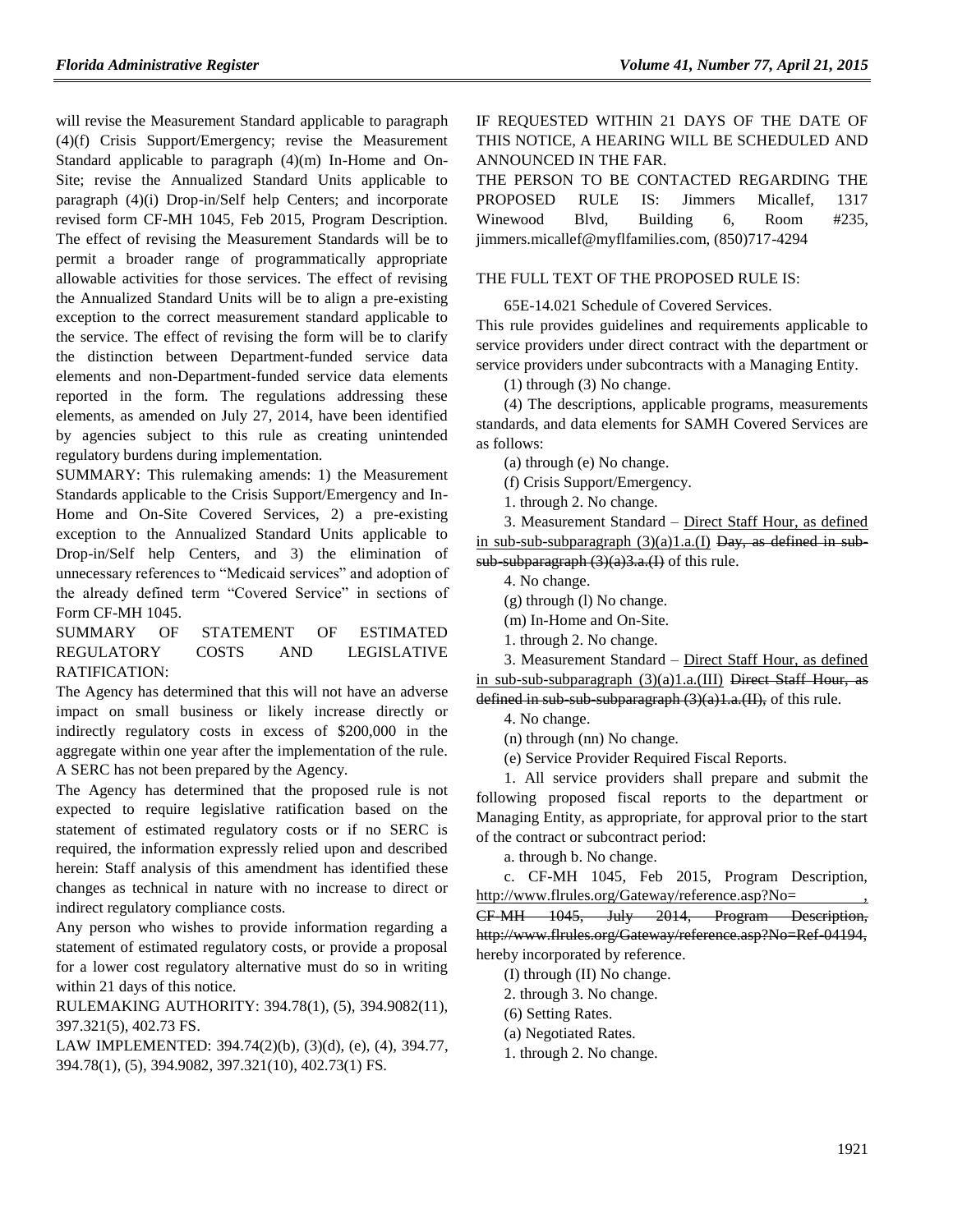will revise the Measurement Standard applicable to paragraph (4)(f) Crisis Support/Emergency; revise the Measurement Standard applicable to paragraph (4)(m) In-Home and On-Site; revise the Annualized Standard Units applicable to paragraph (4)(i) Drop-in/Self help Centers; and incorporate revised form CF-MH 1045, Feb 2015, Program Description. The effect of revising the Measurement Standards will be to permit a broader range of programmatically appropriate allowable activities for those services. The effect of revising the Annualized Standard Units will be to align a pre-existing exception to the correct measurement standard applicable to the service. The effect of revising the form will be to clarify the distinction between Department-funded service data elements and non-Department-funded service data elements reported in the form. The regulations addressing these elements, as amended on July 27, 2014, have been identified by agencies subject to this rule as creating unintended regulatory burdens during implementation.

SUMMARY: This rulemaking amends: 1) the Measurement Standards applicable to the Crisis Support/Emergency and In-Home and On-Site Covered Services, 2) a pre-existing exception to the Annualized Standard Units applicable to Drop-in/Self help Centers, and 3) the elimination of unnecessary references to "Medicaid services" and adoption of the already defined term "Covered Service" in sections of Form CF-MH 1045.

SUMMARY OF STATEMENT OF ESTIMATED REGULATORY COSTS AND LEGISLATIVE RATIFICATION:

The Agency has determined that this will not have an adverse impact on small business or likely increase directly or indirectly regulatory costs in excess of \$200,000 in the aggregate within one year after the implementation of the rule. A SERC has not been prepared by the Agency.

The Agency has determined that the proposed rule is not expected to require legislative ratification based on the statement of estimated regulatory costs or if no SERC is required, the information expressly relied upon and described herein: Staff analysis of this amendment has identified these changes as technical in nature with no increase to direct or indirect regulatory compliance costs.

Any person who wishes to provide information regarding a statement of estimated regulatory costs, or provide a proposal for a lower cost regulatory alternative must do so in writing within 21 days of this notice.

RULEMAKING AUTHORITY: [394.78\(1\), \(5\), 394.9082\(11\),](https://www.flrules.org/gateway/cfr.asp?id=394.78(1),%20(5),%20394.9082(11),%20397.321(5),%20402.73%20FS)  [397.321\(5\), 402.73 FS.](https://www.flrules.org/gateway/cfr.asp?id=394.78(1),%20(5),%20394.9082(11),%20397.321(5),%20402.73%20FS)

LAW IMPLEMENTED: [394.74\(2\)\(b\),](https://www.flrules.org/gateway/statute.asp?id=394.74(2)(b)) (3)(d), (e), (4), [394.77,](https://www.flrules.org/gateway/statute.asp?id=%20394.77) [394.78\(1\),](https://www.flrules.org/gateway/statute.asp?id=%20394.78(1)) (5), [394.9082,](https://www.flrules.org/gateway/statute.asp?id=%20394.9082) [397.321\(10\),](https://www.flrules.org/gateway/statute.asp?id=%20397.321(10)) [402.73\(1\) FS.](https://www.flrules.org/gateway/statute.asp?id=%20402.73(1)%20FS.)

IF REQUESTED WITHIN 21 DAYS OF THE DATE OF THIS NOTICE, A HEARING WILL BE SCHEDULED AND ANNOUNCED IN THE FAR.

THE PERSON TO BE CONTACTED REGARDING THE PROPOSED RULE IS: Jimmers Micallef, 1317 Winewood Blvd, Building 6, Room #235, jimmers.micallef@myflfamilies.com, (850)717-4294

#### THE FULL TEXT OF THE PROPOSED RULE IS:

65E-14.021 Schedule of Covered Services.

This rule provides guidelines and requirements applicable to service providers under direct contract with the department or service providers under subcontracts with a Managing Entity.

(1) through (3) No change.

(4) The descriptions, applicable programs, measurements standards, and data elements for SAMH Covered Services are as follows:

(a) through (e) No change.

(f) Crisis Support/Emergency.

1. through 2. No change.

3. Measurement Standard – Direct Staff Hour, as defined in sub-sub-subparagraph  $(3)(a)1.a.(I)$  Day, as defined in subsub-subparagraph  $(3)(a)3.a.(1)$  of this rule.

4. No change.

(g) through (l) No change.

(m) In-Home and On-Site.

1. through 2. No change.

3. Measurement Standard – Direct Staff Hour, as defined in sub-sub-subparagraph  $(3)(a)1.a.(III)$  Direct Staff Hour, as defined in sub-sub-subparagraph  $(3)(a)1.a.(II)$ , of this rule.

4. No change.

(n) through (nn) No change.

(e) Service Provider Required Fiscal Reports.

1. All service providers shall prepare and submit the following proposed fiscal reports to the department or Managing Entity, as appropriate, for approval prior to the start of the contract or subcontract period:

a. through b. No change.

c. CF-MH 1045, Feb 2015, Program Description, http://www.flrules.org/Gateway/reference.asp?No= ,

CF-MH 1045, July 2014, Program Description, http://www.flrules.org/Gateway/reference.asp?No=Ref-04194, hereby incorporated by reference.

(I) through (II) No change.

2. through 3. No change.

(6) Setting Rates.

(a) Negotiated Rates.

1. through 2. No change.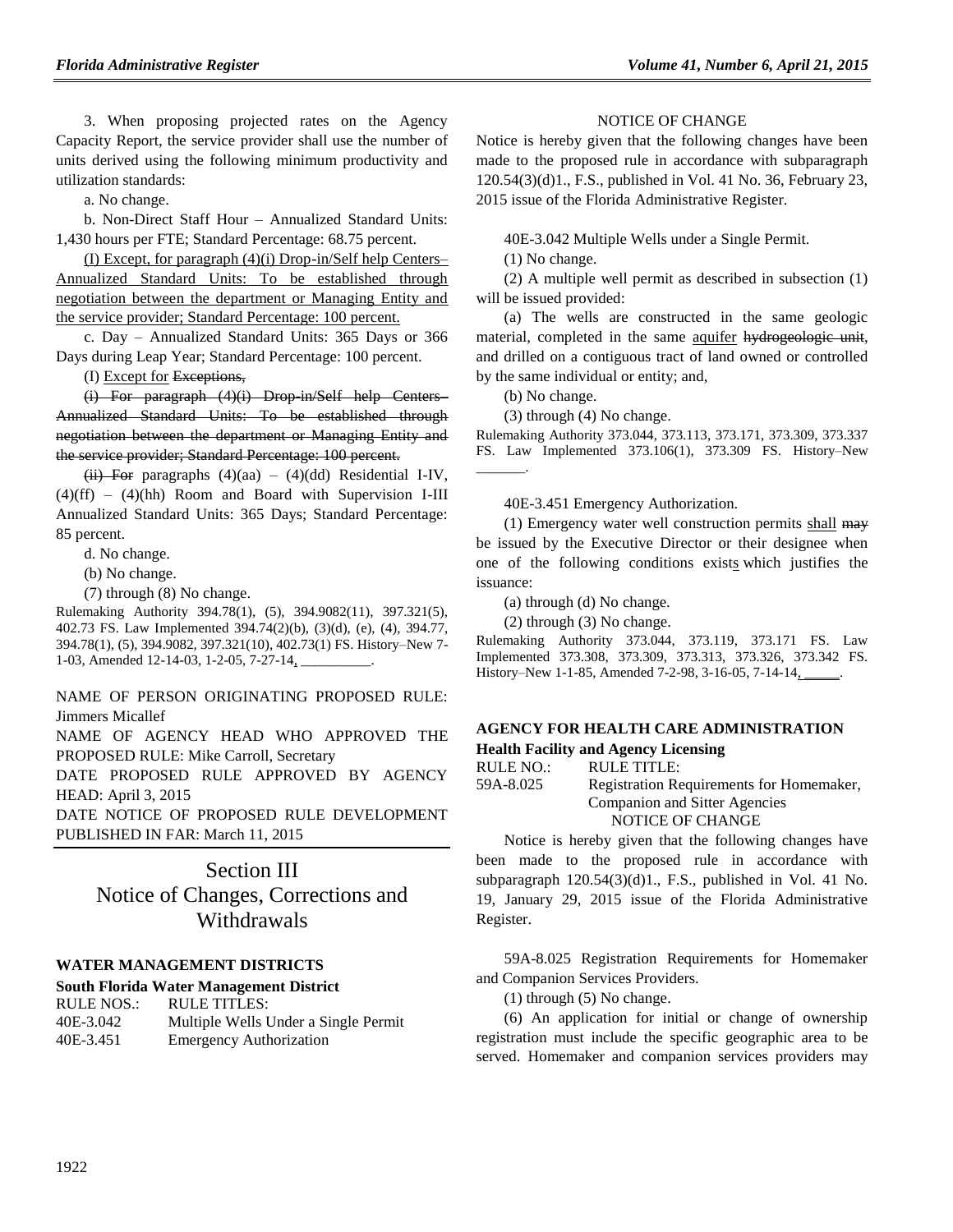3. When proposing projected rates on the Agency Capacity Report, the service provider shall use the number of units derived using the following minimum productivity and utilization standards:

a. No change.

b. Non-Direct Staff Hour – Annualized Standard Units: 1,430 hours per FTE; Standard Percentage: 68.75 percent.

(I) Except, for paragraph (4)(i) Drop-in/Self help Centers– Annualized Standard Units: To be established through negotiation between the department or Managing Entity and the service provider; Standard Percentage: 100 percent.

c. Day – Annualized Standard Units: 365 Days or 366 Days during Leap Year; Standard Percentage: 100 percent.

(I) Except for Exceptions,

 $(i)$  For paragraph  $(4)(i)$  Drop in/Self help Centers– Annualized Standard Units: To be established through negotiation between the department or Managing Entity and the service provider; Standard Percentage: 100 percent.

(ii) For paragraphs  $(4)(aa) - (4)(dd)$  Residential I-IV,  $(4)(ff) - (4)(hh)$  Room and Board with Supervision I-III Annualized Standard Units: 365 Days; Standard Percentage: 85 percent.

d. No change.

(b) No change.

(7) through (8) No change.

Rulemaking Authority 394.78(1), (5), 394.9082(11), 397.321(5), 402.73 FS. Law Implemented 394.74(2)(b), (3)(d), (e), (4), 394.77, 394.78(1), (5), 394.9082, 397.321(10), 402.73(1) FS. History–New 7- 1-03, Amended 12-14-03, 1-2-05, 7-27-14,

NAME OF PERSON ORIGINATING PROPOSED RULE: Jimmers Micallef

NAME OF AGENCY HEAD WHO APPROVED THE PROPOSED RULE: Mike Carroll, Secretary

DATE PROPOSED RULE APPROVED BY AGENCY HEAD: April 3, 2015

DATE NOTICE OF PROPOSED RULE DEVELOPMENT PUBLISHED IN FAR: March 11, 2015

## Section III

# Notice of Changes, Corrections and **Withdrawals**

#### **[WATER MANAGEMENT DISTRICTS](https://www.flrules.org/gateway/department.asp?id=40)**

#### **[South Florida Water Management District](https://www.flrules.org/gateway/organization.asp?id=124)**

| <b>RULE NOS.:</b> | <b>RULE TITLES:</b>                  |
|-------------------|--------------------------------------|
| 40E-3.042         | Multiple Wells Under a Single Permit |
| 40E-3.451         | <b>Emergency Authorization</b>       |

#### NOTICE OF CHANGE

Notice is hereby given that the following changes have been made to the proposed rule in accordance with subparagraph 120.54(3)(d)1., F.S., published in Vol. 41 No. 36, February 23, 2015 issue of the Florida Administrative Register.

40E-3.042 Multiple Wells under a Single Permit.

(1) No change.

(2) A multiple well permit as described in subsection (1) will be issued provided:

(a) The wells are constructed in the same geologic material, completed in the same aquifer hydrogeologic unit, and drilled on a contiguous tract of land owned or controlled by the same individual or entity; and,

(b) No change.

(3) through (4) No change.

Rulemaking Authority 373.044, 373.113, 373.171, 373.309, 373.337 FS. Law Implemented 373.106(1), 373.309 FS. History–New \_\_\_\_\_\_\_.

40E-3.451 Emergency Authorization.

(1) Emergency water well construction permits shall may be issued by the Executive Director or their designee when one of the following conditions exists which justifies the issuance:

(a) through (d) No change.

(2) through (3) No change.

Rulemaking Authority 373.044, 373.119, 373.171 FS. Law Implemented 373.308, 373.309, 373.313, 373.326, 373.342 FS. History–New 1-1-85, Amended 7-2-98, 3-16-05, 7-14-14,

# **[AGENCY FOR HEALTH CARE ADMINISTRATION](https://www.flrules.org/gateway/department.asp?id=59)**

**Health Facility [and Agency Licensing](https://www.flrules.org/gateway/organization.asp?id=186)**

| RULE NO.: | RULE TITLE:                              |
|-----------|------------------------------------------|
| 59A-8.025 | Registration Requirements for Homemaker, |
|           | Companion and Sitter Agencies            |
|           | NOTICE OF CHANGE                         |

Notice is hereby given that the following changes have been made to the proposed rule in accordance with subparagraph 120.54(3)(d)1., F.S., published in Vol. 41 No. 19, January 29, 2015 issue of the Florida Administrative Register.

59A-8.025 Registration Requirements for Homemaker and Companion Services Providers.

(1) through (5) No change.

(6) An application for initial or change of ownership registration must include the specific geographic area to be served. Homemaker and companion services providers may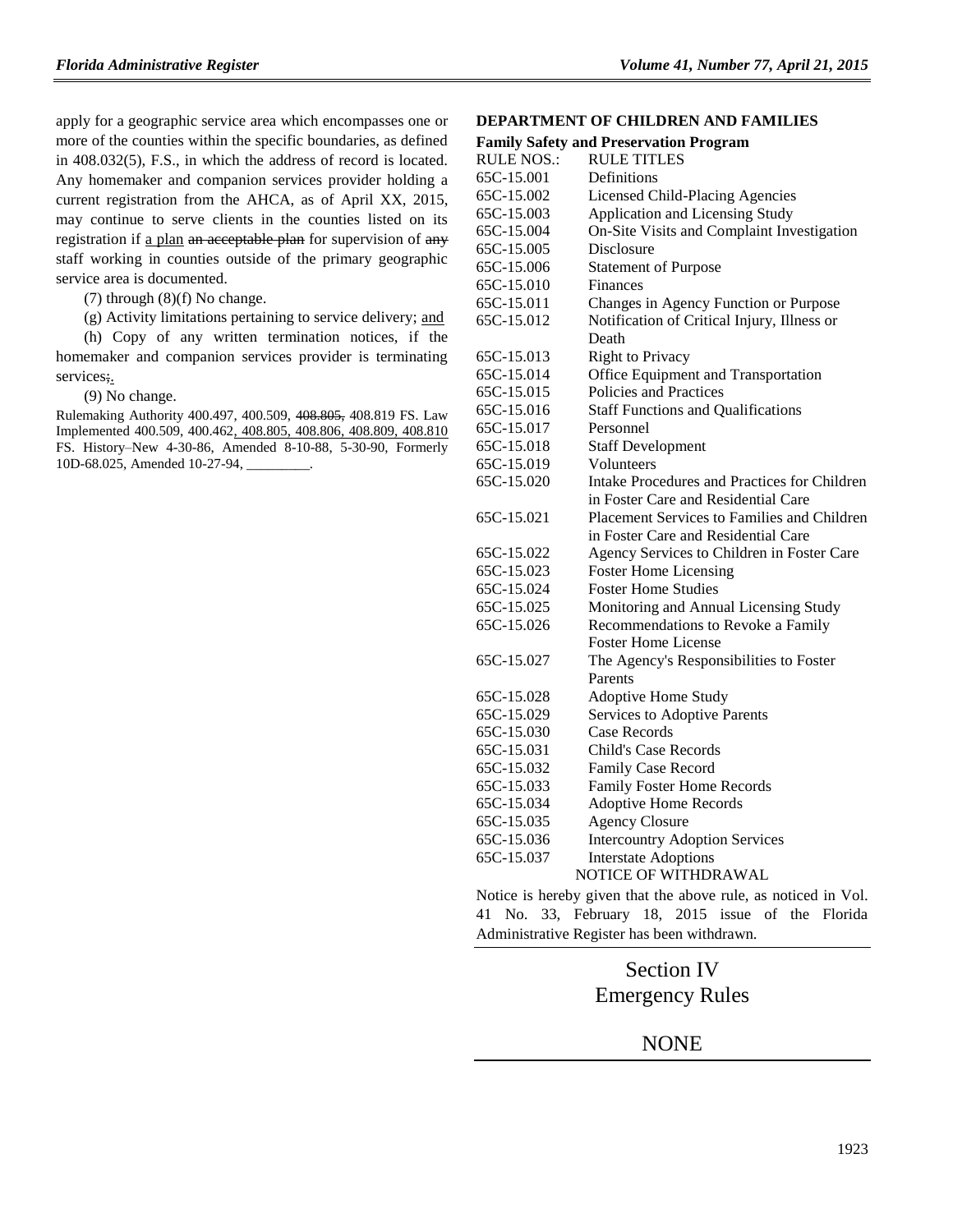apply for a geographic service area which encompasses one or more of the counties within the specific boundaries, as defined in 408.032(5), F.S., in which the address of record is located. Any homemaker and companion services provider holding a current registration from the AHCA, as of April XX, 2015, may continue to serve clients in the counties listed on its registration if a plan an acceptable plan for supervision of any staff working in counties outside of the primary geographic service area is documented.

- (7) through  $(8)(f)$  No change.
- (g) Activity limitations pertaining to service delivery; and

(h) Copy of any written termination notices, if the homemaker and companion services provider is terminating services;

(9) No change.

Rulemaking Authority 400.497, 400.509, 408.805, 408.819 FS. Law Implemented 400.509, 400.462, 408.805, 408.806, 408.809, 408.810 FS. History–New 4-30-86, Amended 8-10-88, 5-30-90, Formerly 10D-68.025, Amended 10-27-94,

#### **[DEPARTMENT OF CHILDREN AND FAMILIES](https://www.flrules.org/gateway/department.asp?id=65)**

|                   | <b>Family Safety and Preservation Program</b> |
|-------------------|-----------------------------------------------|
| <b>RULE NOS.:</b> | <b>RULE TITLES</b>                            |
| 65C-15.001        | Definitions                                   |
| 65C-15.002        | <b>Licensed Child-Placing Agencies</b>        |
| 65C-15.003        | Application and Licensing Study               |
| 65C-15.004        | On-Site Visits and Complaint Investigation    |
| 65C-15.005        | Disclosure                                    |
| 65C-15.006        | <b>Statement of Purpose</b>                   |
| 65C-15.010        | Finances                                      |
| 65C-15.011        | Changes in Agency Function or Purpose         |
| 65C-15.012        | Notification of Critical Injury, Illness or   |
|                   | Death                                         |
| 65C-15.013        | <b>Right to Privacy</b>                       |
| 65C-15.014        | Office Equipment and Transportation           |
| 65C-15.015        | Policies and Practices                        |
| 65C-15.016        | <b>Staff Functions and Qualifications</b>     |
| 65C-15.017        | Personnel                                     |
| 65C-15.018        | <b>Staff Development</b>                      |
| 65C-15.019        | Volunteers                                    |
| 65C-15.020        | Intake Procedures and Practices for Children  |
|                   | in Foster Care and Residential Care           |
| 65C-15.021        | Placement Services to Families and Children   |
|                   | in Foster Care and Residential Care           |
| 65C-15.022        | Agency Services to Children in Foster Care    |
| 65C-15.023        | <b>Foster Home Licensing</b>                  |
| 65C-15.024        | <b>Foster Home Studies</b>                    |
| 65C-15.025        | Monitoring and Annual Licensing Study         |
| 65C-15.026        | Recommendations to Revoke a Family            |
|                   | <b>Foster Home License</b>                    |
| 65C-15.027        | The Agency's Responsibilities to Foster       |
|                   | Parents                                       |
| 65C-15.028        | Adoptive Home Study                           |
| 65C-15.029        | Services to Adoptive Parents                  |
| 65C-15.030        | Case Records                                  |
| 65C-15.031        | Child's Case Records                          |
| 65C-15.032        | Family Case Record                            |
| 65C-15.033        | Family Foster Home Records                    |
| 65C-15.034        | <b>Adoptive Home Records</b>                  |
| 65C-15.035        | <b>Agency Closure</b>                         |
| 65C-15.036        | <b>Intercountry Adoption Services</b>         |
| 65C-15.037        | <b>Interstate Adoptions</b>                   |
|                   | NOTICE OF WITHDRAWAL                          |

Notice is hereby given that the above rule, as noticed in Vol. 41 No. 33, February 18, 2015 issue of the Florida Administrative Register has been withdrawn.

# Section IV Emergency Rules

### NONE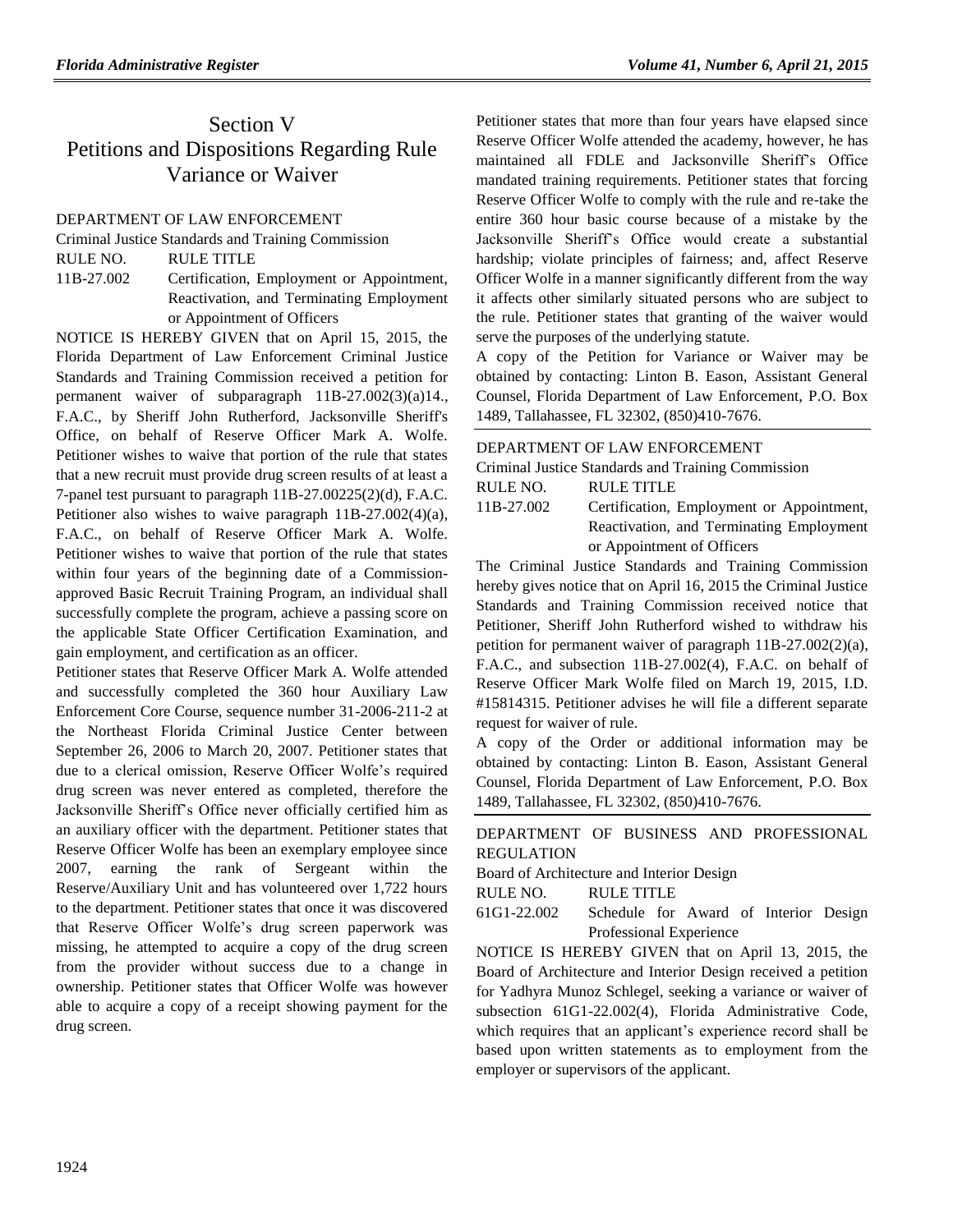# Section V Petitions and Dispositions Regarding Rule Variance or Waiver

### [DEPARTMENT OF LAW ENFORCEMENT](https://www.flrules.org/gateway/department.asp?id=11)

[Criminal Justice Standards and Training Commission](https://www.flrules.org/gateway/organization.asp?id=20)

RULE NO. RULE TITLE

[11B-27.002](https://www.flrules.org/gateway/ruleNo.asp?id=11B-27.002) Certification, Employment or Appointment, Reactivation, and Terminating Employment or Appointment of Officers

NOTICE IS HEREBY GIVEN that on April 15, 2015, the Florida Department of Law Enforcement Criminal Justice Standards and Training Commission received a petition for permanent waiver of subparagraph 11B-27.002(3)(a)14., F.A.C., by Sheriff John Rutherford, Jacksonville Sheriff's Office, on behalf of Reserve Officer Mark A. Wolfe. Petitioner wishes to waive that portion of the rule that states that a new recruit must provide drug screen results of at least a 7-panel test pursuant to paragraph 11B-27.00225(2)(d), F.A.C. Petitioner also wishes to waive paragraph 11B-27.002(4)(a), F.A.C., on behalf of Reserve Officer Mark A. Wolfe. Petitioner wishes to waive that portion of the rule that states within four years of the beginning date of a Commissionapproved Basic Recruit Training Program, an individual shall successfully complete the program, achieve a passing score on the applicable State Officer Certification Examination, and gain employment, and certification as an officer.

Petitioner states that Reserve Officer Mark A. Wolfe attended and successfully completed the 360 hour Auxiliary Law Enforcement Core Course, sequence number 31-2006-211-2 at the Northeast Florida Criminal Justice Center between September 26, 2006 to March 20, 2007. Petitioner states that due to a clerical omission, Reserve Officer Wolfe's required drug screen was never entered as completed, therefore the Jacksonville Sheriff's Office never officially certified him as an auxiliary officer with the department. Petitioner states that Reserve Officer Wolfe has been an exemplary employee since 2007, earning the rank of Sergeant within the Reserve/Auxiliary Unit and has volunteered over 1,722 hours to the department. Petitioner states that once it was discovered that Reserve Officer Wolfe's drug screen paperwork was missing, he attempted to acquire a copy of the drug screen from the provider without success due to a change in ownership. Petitioner states that Officer Wolfe was however able to acquire a copy of a receipt showing payment for the drug screen.

Petitioner states that more than four years have elapsed since Reserve Officer Wolfe attended the academy, however, he has maintained all FDLE and Jacksonville Sheriff's Office mandated training requirements. Petitioner states that forcing Reserve Officer Wolfe to comply with the rule and re-take the entire 360 hour basic course because of a mistake by the Jacksonville Sheriff's Office would create a substantial hardship; violate principles of fairness; and, affect Reserve Officer Wolfe in a manner significantly different from the way it affects other similarly situated persons who are subject to the rule. Petitioner states that granting of the waiver would serve the purposes of the underlying statute.

A copy of the Petition for Variance or Waiver may be obtained by contacting: Linton B. Eason, Assistant General Counsel, Florida Department of Law Enforcement, P.O. Box 1489, Tallahassee, FL 32302, (850)410-7676.

#### [DEPARTMENT OF LAW ENFORCEMENT](https://www.flrules.org/gateway/department.asp?id=11)

[Criminal Justice Standards and Training Commission](https://www.flrules.org/gateway/organization.asp?id=20)

| RULE NO. | <b>RULE TITLE</b> |
|----------|-------------------|
|          |                   |

[11B-27.002](https://www.flrules.org/gateway/ruleNo.asp?id=11B-27.002) Certification, Employment or Appointment, Reactivation, and Terminating Employment or Appointment of Officers

The Criminal Justice Standards and Training Commission hereby gives notice that on April 16, 2015 the Criminal Justice Standards and Training Commission received notice that Petitioner, Sheriff John Rutherford wished to withdraw his petition for permanent waiver of paragraph 11B-27.002(2)(a), F.A.C., and subsection 11B-27.002(4), F.A.C. on behalf of Reserve Officer Mark Wolfe filed on March 19, 2015, I.D. #15814315. Petitioner advises he will file a different separate request for waiver of rule.

A copy of the Order or additional information may be obtained by contacting: Linton B. Eason, Assistant General Counsel, Florida Department of Law Enforcement, P.O. Box 1489, Tallahassee, FL 32302, (850)410-7676.

[DEPARTMENT OF BUSINESS AND PROFESSIONAL](https://www.flrules.org/gateway/department.asp?id=61)  [REGULATION](https://www.flrules.org/gateway/department.asp?id=61)

[Board of Architecture and Interior Design](https://www.flrules.org/gateway/organization.asp?id=263)

RULE NO. RULE TITLE

[61G1-22.002](https://www.flrules.org/gateway/ruleNo.asp?id=61G1-22.002) Schedule for Award of Interior Design Professional Experience

NOTICE IS HEREBY GIVEN that on April 13, 2015, the Board of Architecture and Interior Design received a petition for Yadhyra Munoz Schlegel, seeking a variance or waiver of subsection 61G1-22.002(4), Florida Administrative Code, which requires that an applicant's experience record shall be based upon written statements as to employment from the employer or supervisors of the applicant.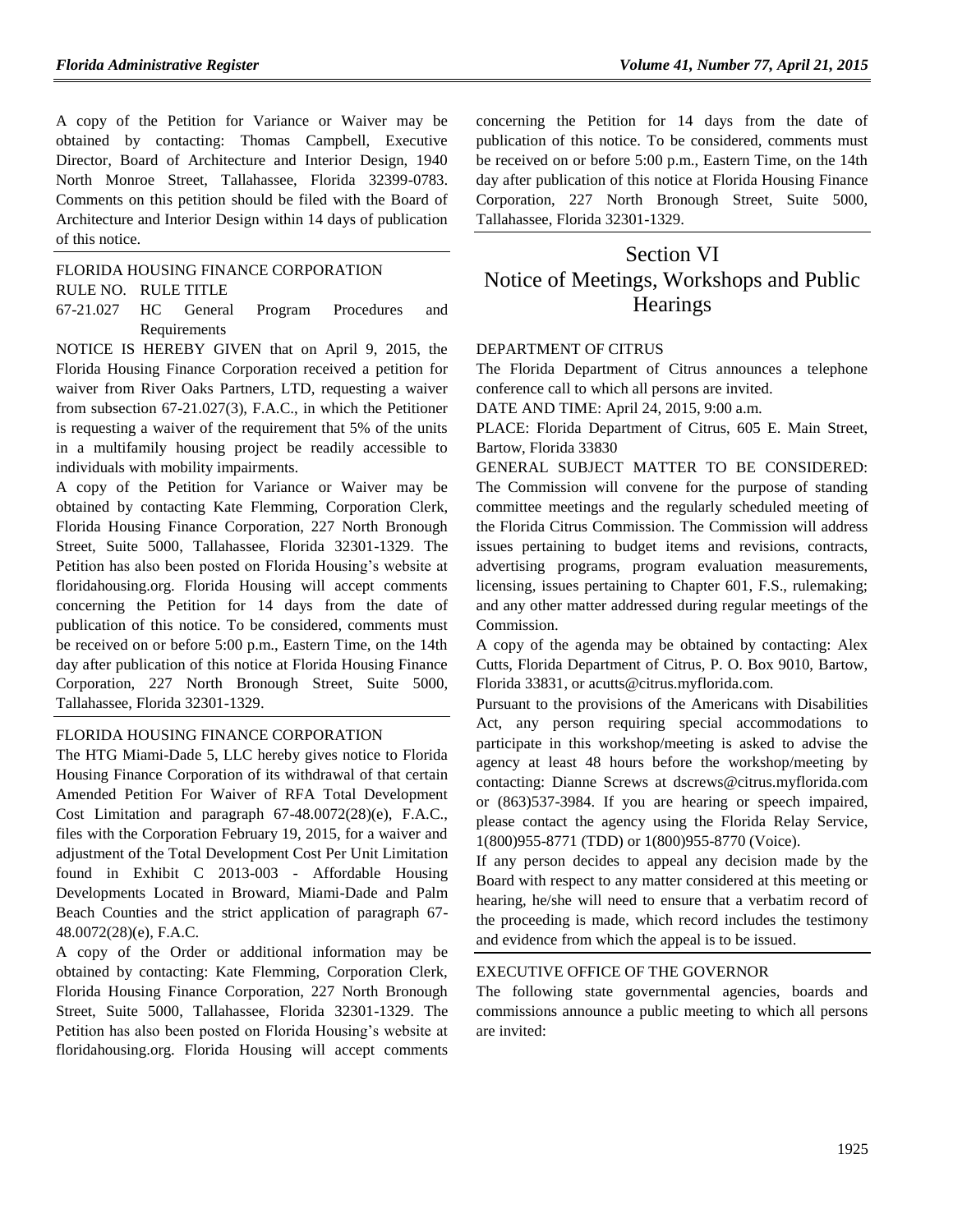A copy of the Petition for Variance or Waiver may be obtained by contacting: Thomas Campbell, Executive Director, Board of Architecture and Interior Design, 1940 North Monroe Street, Tallahassee, Florida 32399-0783. Comments on this petition should be filed with the Board of Architecture and Interior Design within 14 days of publication of this notice.

[FLORIDA HOUSING FINANCE CORPORATION](https://www.flrules.org/gateway/department.asp?id=67)

RULE NO. RULE TITLE

[67-21.027](https://www.flrules.org/gateway/ruleNo.asp?id=67-21.027) HC General Program Procedures and Requirements

NOTICE IS HEREBY GIVEN that on April 9, 2015, the Florida Housing Finance Corporation received a petition for waiver from River Oaks Partners, LTD, requesting a waiver from subsection 67-21.027(3), F.A.C., in which the Petitioner is requesting a waiver of the requirement that 5% of the units in a multifamily housing project be readily accessible to individuals with mobility impairments.

A copy of the Petition for Variance or Waiver may be obtained by contacting Kate Flemming, Corporation Clerk, Florida Housing Finance Corporation, 227 North Bronough Street, Suite 5000, Tallahassee, Florida 32301-1329. The Petition has also been posted on Florida Housing's website at floridahousing.org. Florida Housing will accept comments concerning the Petition for 14 days from the date of publication of this notice. To be considered, comments must be received on or before 5:00 p.m., Eastern Time, on the 14th day after publication of this notice at Florida Housing Finance Corporation, 227 North Bronough Street, Suite 5000, Tallahassee, Florida 32301-1329.

#### [FLORIDA HOUSING FINANCE CORPORATION](https://www.flrules.org/gateway/department.asp?id=67)

The HTG Miami-Dade 5, LLC hereby gives notice to Florida Housing Finance Corporation of its withdrawal of that certain Amended Petition For Waiver of RFA Total Development Cost Limitation and paragraph 67-48.0072(28)(e), F.A.C., files with the Corporation February 19, 2015, for a waiver and adjustment of the Total Development Cost Per Unit Limitation found in Exhibit C 2013-003 - Affordable Housing Developments Located in Broward, Miami-Dade and Palm Beach Counties and the strict application of paragraph 67- 48.0072(28)(e), F.A.C.

A copy of the Order or additional information may be obtained by contacting: Kate Flemming, Corporation Clerk, Florida Housing Finance Corporation, 227 North Bronough Street, Suite 5000, Tallahassee, Florida 32301-1329. The Petition has also been posted on Florida Housing's website at floridahousing.org. Florida Housing will accept comments

concerning the Petition for 14 days from the date of publication of this notice. To be considered, comments must be received on or before 5:00 p.m., Eastern Time, on the 14th day after publication of this notice at Florida Housing Finance Corporation, 227 North Bronough Street, Suite 5000, Tallahassee, Florida 32301-1329.

# Section VI Notice of Meetings, Workshops and Public **Hearings**

#### [DEPARTMENT OF CITRUS](https://www.flrules.org/gateway/department.asp?id=20)

The Florida Department of Citrus announces a telephone conference call to which all persons are invited.

DATE AND TIME: April 24, 2015, 9:00 a.m.

PLACE: Florida Department of Citrus, 605 E. Main Street, Bartow, Florida 33830

GENERAL SUBJECT MATTER TO BE CONSIDERED: The Commission will convene for the purpose of standing committee meetings and the regularly scheduled meeting of the Florida Citrus Commission. The Commission will address issues pertaining to budget items and revisions, contracts, advertising programs, program evaluation measurements, licensing, issues pertaining to Chapter 601, F.S., rulemaking; and any other matter addressed during regular meetings of the Commission.

A copy of the agenda may be obtained by contacting: Alex Cutts, Florida Department of Citrus, P. O. Box 9010, Bartow, Florida 33831, or [acutts@citrus.myflorida.com.](mailto:acutts@citrus.myflorida.com)

Pursuant to the provisions of the Americans with Disabilities Act, any person requiring special accommodations to participate in this workshop/meeting is asked to advise the agency at least 48 hours before the workshop/meeting by contacting: Dianne Screws at [dscrews@citrus.myflorida.com](mailto:dscrews@citrus.myflorida.com) or (863)537-3984. If you are hearing or speech impaired, please contact the agency using the Florida Relay Service, 1(800)955-8771 (TDD) or 1(800)955-8770 (Voice).

If any person decides to appeal any decision made by the Board with respect to any matter considered at this meeting or hearing, he/she will need to ensure that a verbatim record of the proceeding is made, which record includes the testimony and evidence from which the appeal is to be issued.

#### [EXECUTIVE OFFICE OF THE GOVERNOR](https://www.flrules.org/gateway/department.asp?id=27)

The following state governmental agencies, boards and commissions announce a public meeting to which all persons are invited: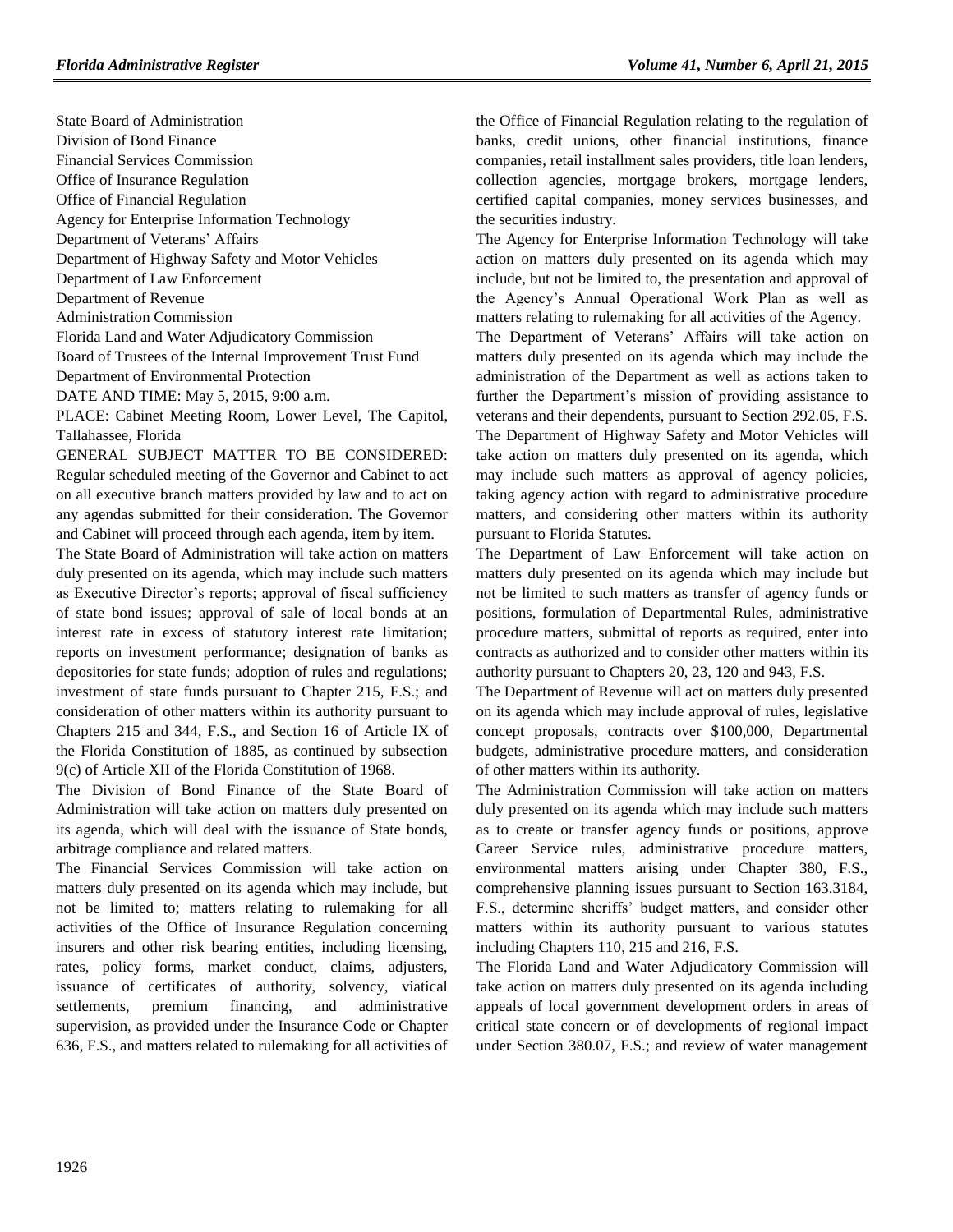State Board of Administration Division of Bond Finance Financial Services Commission Office of Insurance Regulation Office of Financial Regulation Agency for Enterprise Information Technology Department of Veterans' Affairs Department of Highway Safety and Motor Vehicles Department of Law Enforcement Department of Revenue Administration Commission Florida Land and Water Adjudicatory Commission Board of Trustees of the Internal Improvement Trust Fund Department of Environmental Protection DATE AND TIME: May 5, 2015, 9:00 a.m.

PLACE: Cabinet Meeting Room, Lower Level, The Capitol, Tallahassee, Florida

GENERAL SUBJECT MATTER TO BE CONSIDERED: Regular scheduled meeting of the Governor and Cabinet to act on all executive branch matters provided by law and to act on any agendas submitted for their consideration. The Governor and Cabinet will proceed through each agenda, item by item.

The State Board of Administration will take action on matters duly presented on its agenda, which may include such matters as Executive Director's reports; approval of fiscal sufficiency of state bond issues; approval of sale of local bonds at an interest rate in excess of statutory interest rate limitation; reports on investment performance; designation of banks as depositories for state funds; adoption of rules and regulations; investment of state funds pursuant to Chapter 215, F.S.; and consideration of other matters within its authority pursuant to Chapters 215 and 344, F.S., and Section 16 of Article IX of the Florida Constitution of 1885, as continued by subsection 9(c) of Article XII of the Florida Constitution of 1968.

The Division of Bond Finance of the State Board of Administration will take action on matters duly presented on its agenda, which will deal with the issuance of State bonds, arbitrage compliance and related matters.

The Financial Services Commission will take action on matters duly presented on its agenda which may include, but not be limited to; matters relating to rulemaking for all activities of the Office of Insurance Regulation concerning insurers and other risk bearing entities, including licensing, rates, policy forms, market conduct, claims, adjusters, issuance of certificates of authority, solvency, viatical settlements, premium financing, and administrative supervision, as provided under the Insurance Code or Chapter 636, F.S., and matters related to rulemaking for all activities of the Office of Financial Regulation relating to the regulation of banks, credit unions, other financial institutions, finance companies, retail installment sales providers, title loan lenders, collection agencies, mortgage brokers, mortgage lenders, certified capital companies, money services businesses, and the securities industry.

The Agency for Enterprise Information Technology will take action on matters duly presented on its agenda which may include, but not be limited to, the presentation and approval of the Agency's Annual Operational Work Plan as well as matters relating to rulemaking for all activities of the Agency.

The Department of Veterans' Affairs will take action on matters duly presented on its agenda which may include the administration of the Department as well as actions taken to further the Department's mission of providing assistance to veterans and their dependents, pursuant to Section 292.05, F.S. The Department of Highway Safety and Motor Vehicles will take action on matters duly presented on its agenda, which may include such matters as approval of agency policies, taking agency action with regard to administrative procedure matters, and considering other matters within its authority pursuant to Florida Statutes.

The Department of Law Enforcement will take action on matters duly presented on its agenda which may include but not be limited to such matters as transfer of agency funds or positions, formulation of Departmental Rules, administrative procedure matters, submittal of reports as required, enter into contracts as authorized and to consider other matters within its authority pursuant to Chapters 20, 23, 120 and 943, F.S.

The Department of Revenue will act on matters duly presented on its agenda which may include approval of rules, legislative concept proposals, contracts over \$100,000, Departmental budgets, administrative procedure matters, and consideration of other matters within its authority.

The Administration Commission will take action on matters duly presented on its agenda which may include such matters as to create or transfer agency funds or positions, approve Career Service rules, administrative procedure matters, environmental matters arising under Chapter 380, F.S., comprehensive planning issues pursuant to Section 163.3184, F.S., determine sheriffs' budget matters, and consider other matters within its authority pursuant to various statutes including Chapters 110, 215 and 216, F.S.

The Florida Land and Water Adjudicatory Commission will take action on matters duly presented on its agenda including appeals of local government development orders in areas of critical state concern or of developments of regional impact under Section 380.07, F.S.; and review of water management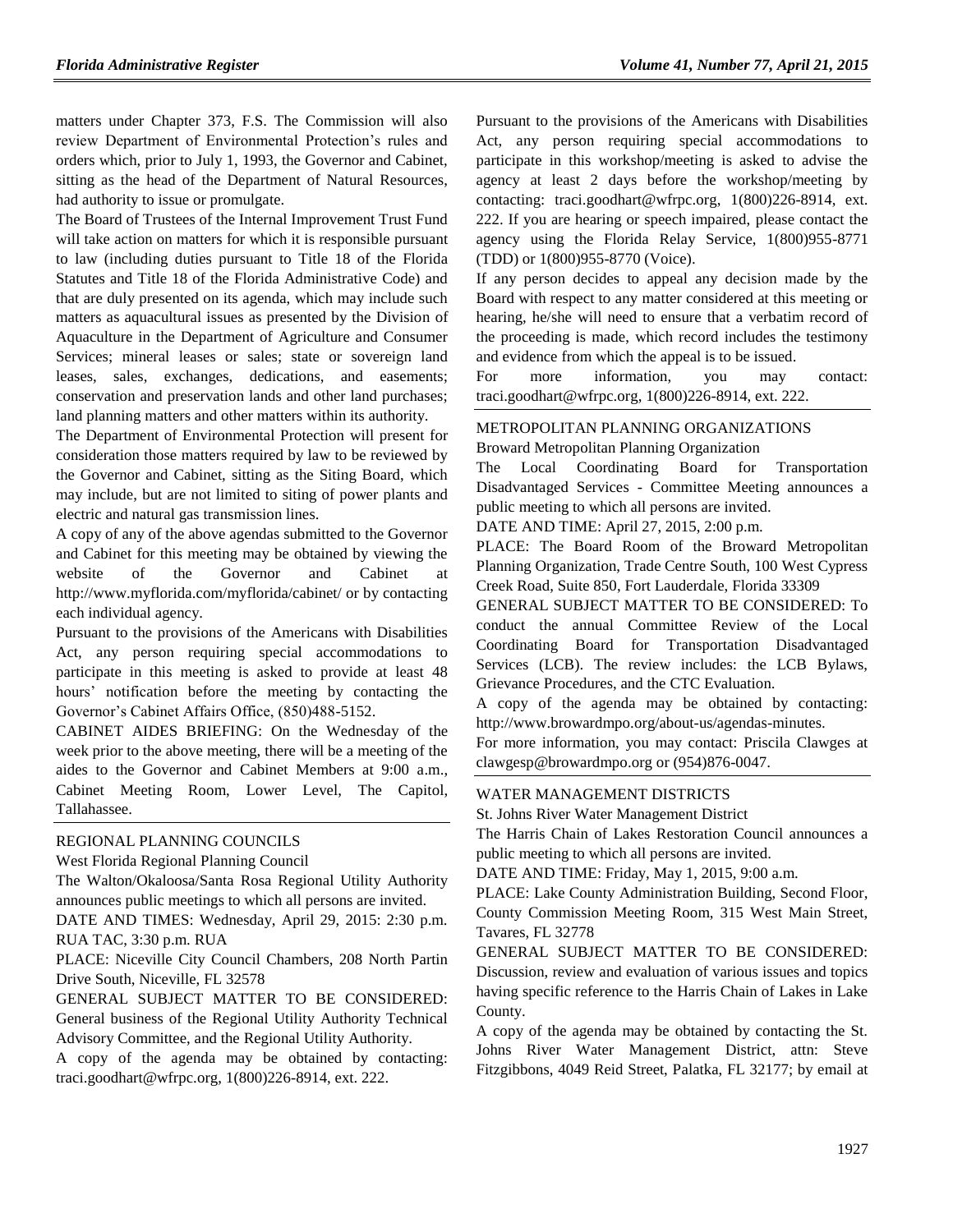matters under Chapter 373, F.S. The Commission will also review Department of Environmental Protection's rules and orders which, prior to July 1, 1993, the Governor and Cabinet, sitting as the head of the Department of Natural Resources, had authority to issue or promulgate.

The Board of Trustees of the Internal Improvement Trust Fund will take action on matters for which it is responsible pursuant to law (including duties pursuant to Title 18 of the Florida Statutes and Title 18 of the Florida Administrative Code) and that are duly presented on its agenda, which may include such matters as aquacultural issues as presented by the Division of Aquaculture in the Department of Agriculture and Consumer Services; mineral leases or sales; state or sovereign land leases, sales, exchanges, dedications, and easements; conservation and preservation lands and other land purchases; land planning matters and other matters within its authority.

The Department of Environmental Protection will present for consideration those matters required by law to be reviewed by the Governor and Cabinet, sitting as the Siting Board, which may include, but are not limited to siting of power plants and electric and natural gas transmission lines.

A copy of any of the above agendas submitted to the Governor and Cabinet for this meeting may be obtained by viewing the website of the Governor and Cabinet at http://www.myflorida.com/myflorida/cabinet/ or by contacting each individual agency.

Pursuant to the provisions of the Americans with Disabilities Act, any person requiring special accommodations to participate in this meeting is asked to provide at least 48 hours' notification before the meeting by contacting the Governor's Cabinet Affairs Office, (850)488-5152.

CABINET AIDES BRIEFING: On the Wednesday of the week prior to the above meeting, there will be a meeting of the aides to the Governor and Cabinet Members at 9:00 a.m., Cabinet Meeting Room, Lower Level, The Capitol, Tallahassee.

### [REGIONAL PLANNING COUNCILS](https://www.flrules.org/gateway/department.asp?id=29)

[West Florida Regional Planning Council](https://www.flrules.org/gateway/organization.asp?id=57)

The Walton/Okaloosa/Santa Rosa Regional Utility Authority announces public meetings to which all persons are invited.

DATE AND TIMES: Wednesday, April 29, 2015: 2:30 p.m. RUA TAC, 3:30 p.m. RUA

PLACE: Niceville City Council Chambers, 208 North Partin Drive South, Niceville, FL 32578

GENERAL SUBJECT MATTER TO BE CONSIDERED: General business of the Regional Utility Authority Technical Advisory Committee, and the Regional Utility Authority.

A copy of the agenda may be obtained by contacting: [traci.goodhart@wfrpc.org,](mailto:traci.goodhart@wfrpc.org) 1(800)226-8914, ext. 222.

Pursuant to the provisions of the Americans with Disabilities Act, any person requiring special accommodations to participate in this workshop/meeting is asked to advise the agency at least 2 days before the workshop/meeting by contacting: [traci.goodhart@wfrpc.org,](mailto:traci.goodhart@wfrpc.org) 1(800)226-8914, ext. 222. If you are hearing or speech impaired, please contact the agency using the Florida Relay Service, 1(800)955-8771 (TDD) or 1(800)955-8770 (Voice).

If any person decides to appeal any decision made by the Board with respect to any matter considered at this meeting or hearing, he/she will need to ensure that a verbatim record of the proceeding is made, which record includes the testimony and evidence from which the appeal is to be issued.

For more information, you may contact: [traci.goodhart@wfrpc.org,](mailto:traci.goodhart@wfrpc.org) 1(800)226-8914, ext. 222.

### [METROPOLITAN PLANNING ORGANIZATIONS](https://www.flrules.org/gateway/department.asp?id=35)

[Broward Metropolitan Planning Organization](https://www.flrules.org/gateway/organization.asp?id=953)

The Local Coordinating Board for Transportation Disadvantaged Services - Committee Meeting announces a public meeting to which all persons are invited.

DATE AND TIME: April 27, 2015, 2:00 p.m.

PLACE: The Board Room of the Broward Metropolitan Planning Organization, Trade Centre South, 100 West Cypress Creek Road, Suite 850, Fort Lauderdale, Florida 33309

GENERAL SUBJECT MATTER TO BE CONSIDERED: To conduct the annual Committee Review of the Local Coordinating Board for Transportation Disadvantaged Services (LCB). The review includes: the LCB Bylaws, Grievance Procedures, and the CTC Evaluation.

A copy of the agenda may be obtained by contacting: [http://www.browardmpo.org/about-us/agendas-minutes.](http://www.browardmpo.org/about-us/agendas-minutes)

For more information, you may contact: Priscila Clawges at [clawgesp@browardmpo.org](mailto:clawgesp@browardmpo.org) or (954)876-0047.

#### [WATER MANAGEMENT DISTRICTS](https://www.flrules.org/gateway/department.asp?id=40)

[St. Johns River Water Management District](https://www.flrules.org/gateway/organization.asp?id=122)

The Harris Chain of Lakes Restoration Council announces a public meeting to which all persons are invited.

DATE AND TIME: Friday, May 1, 2015, 9:00 a.m.

PLACE: Lake County Administration Building, Second Floor, County Commission Meeting Room, 315 West Main Street, Tavares, FL 32778

GENERAL SUBJECT MATTER TO BE CONSIDERED: Discussion, review and evaluation of various issues and topics having specific reference to the Harris Chain of Lakes in Lake County.

A copy of the agenda may be obtained by contacting the St. Johns River Water Management District, attn: Steve Fitzgibbons, 4049 Reid Street, Palatka, FL 32177; by email at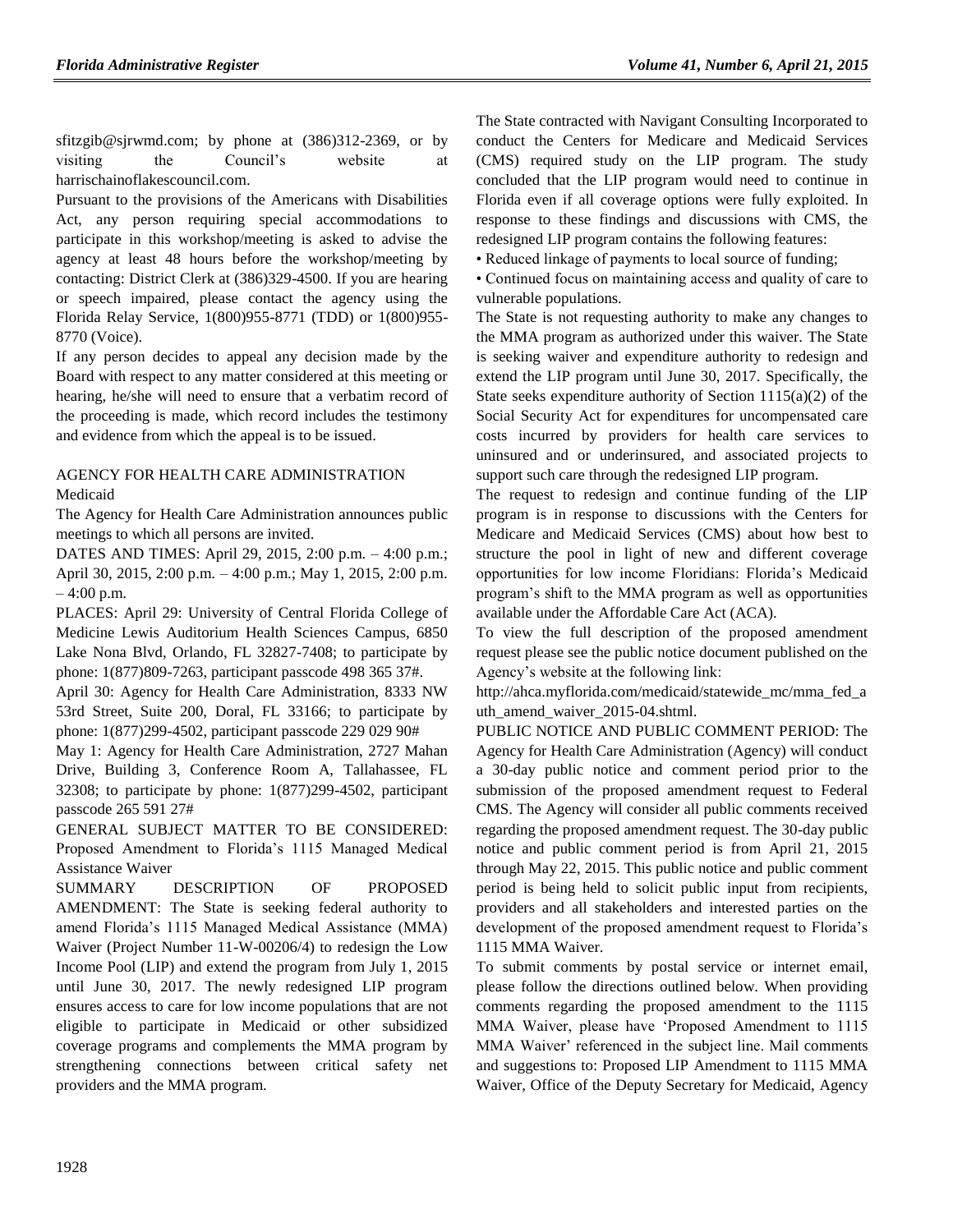[sfitzgib@sjrwmd.com;](mailto:sfitzgib@sjrwmd.com) by phone at (386)312-2369, or by visiting the Council's website at harrischainoflakescouncil.com.

Pursuant to the provisions of the Americans with Disabilities Act, any person requiring special accommodations to participate in this workshop/meeting is asked to advise the agency at least 48 hours before the workshop/meeting by contacting: District Clerk at (386)329-4500. If you are hearing or speech impaired, please contact the agency using the Florida Relay Service, 1(800)955-8771 (TDD) or 1(800)955- 8770 (Voice).

If any person decides to appeal any decision made by the Board with respect to any matter considered at this meeting or hearing, he/she will need to ensure that a verbatim record of the proceeding is made, which record includes the testimony and evidence from which the appeal is to be issued.

### [AGENCY FOR HEALTH CARE ADMINISTRATION](https://www.flrules.org/gateway/department.asp?id=59) [Medicaid](https://www.flrules.org/gateway/organization.asp?id=192)

The Agency for Health Care Administration announces public meetings to which all persons are invited.

DATES AND TIMES: April 29, 2015, 2:00 p.m. – 4:00 p.m.; April 30, 2015, 2:00 p.m. – 4:00 p.m.; May 1, 2015, 2:00 p.m. – 4:00 p.m.

PLACES: April 29: University of Central Florida College of Medicine Lewis Auditorium Health Sciences Campus, 6850 Lake Nona Blvd, Orlando, FL 32827-7408; to participate by phone: 1(877)809-7263, participant passcode 498 365 37#.

April 30: Agency for Health Care Administration, 8333 NW 53rd Street, Suite 200, Doral, FL 33166; to participate by phone: 1(877)299-4502, participant passcode 229 029 90#

May 1: Agency for Health Care Administration, 2727 Mahan Drive, Building 3, Conference Room A, Tallahassee, FL 32308; to participate by phone: 1(877)299-4502, participant passcode 265 591 27#

GENERAL SUBJECT MATTER TO BE CONSIDERED: Proposed Amendment to Florida's 1115 Managed Medical Assistance Waiver

SUMMARY DESCRIPTION OF PROPOSED AMENDMENT: The State is seeking federal authority to amend Florida's 1115 Managed Medical Assistance (MMA) Waiver (Project Number 11-W-00206/4) to redesign the Low Income Pool (LIP) and extend the program from July 1, 2015 until June 30, 2017. The newly redesigned LIP program ensures access to care for low income populations that are not eligible to participate in Medicaid or other subsidized coverage programs and complements the MMA program by strengthening connections between critical safety net providers and the MMA program.

The State contracted with Navigant Consulting Incorporated to conduct the Centers for Medicare and Medicaid Services (CMS) required study on the LIP program. The study concluded that the LIP program would need to continue in Florida even if all coverage options were fully exploited. In response to these findings and discussions with CMS, the redesigned LIP program contains the following features:

• Reduced linkage of payments to local source of funding;

• Continued focus on maintaining access and quality of care to vulnerable populations.

The State is not requesting authority to make any changes to the MMA program as authorized under this waiver. The State is seeking waiver and expenditure authority to redesign and extend the LIP program until June 30, 2017. Specifically, the State seeks expenditure authority of Section  $1115(a)(2)$  of the Social Security Act for expenditures for uncompensated care costs incurred by providers for health care services to uninsured and or underinsured, and associated projects to support such care through the redesigned LIP program.

The request to redesign and continue funding of the LIP program is in response to discussions with the Centers for Medicare and Medicaid Services (CMS) about how best to structure the pool in light of new and different coverage opportunities for low income Floridians: Florida's Medicaid program's shift to the MMA program as well as opportunities available under the Affordable Care Act (ACA).

To view the full description of the proposed amendment request please see the public notice document published on the Agency's website at the following link:

[http://ahca.myflorida.com/medicaid/statewide\\_mc/mma\\_fed\\_a](http://ahca.myflorida.com/medicaid/statewide_mc/mma_fed_auth_amend_waiver_2015-04.shtml) uth amend waiver 2015-04.shtml.

PUBLIC NOTICE AND PUBLIC COMMENT PERIOD: The Agency for Health Care Administration (Agency) will conduct a 30-day public notice and comment period prior to the submission of the proposed amendment request to Federal CMS. The Agency will consider all public comments received regarding the proposed amendment request. The 30-day public notice and public comment period is from April 21, 2015 through May 22, 2015. This public notice and public comment period is being held to solicit public input from recipients, providers and all stakeholders and interested parties on the development of the proposed amendment request to Florida's 1115 MMA Waiver.

To submit comments by postal service or internet email, please follow the directions outlined below. When providing comments regarding the proposed amendment to the 1115 MMA Waiver, please have 'Proposed Amendment to 1115 MMA Waiver' referenced in the subject line. Mail comments and suggestions to: Proposed LIP Amendment to 1115 MMA Waiver, Office of the Deputy Secretary for Medicaid, Agency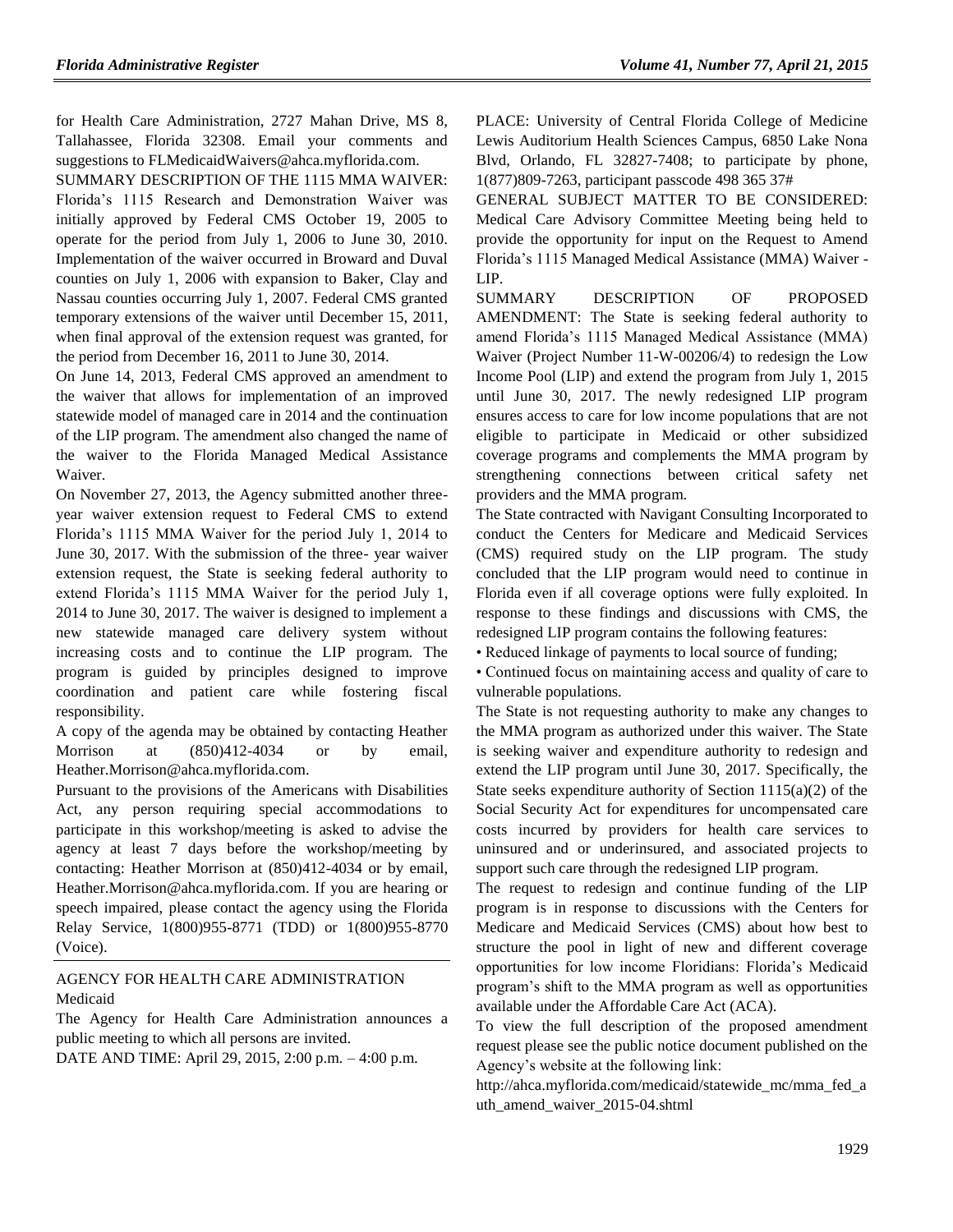for Health Care Administration, 2727 Mahan Drive, MS 8, Tallahassee, Florida 32308. Email your comments and suggestions to [FLMedicaidWaivers@ahca.myflorida.com.](mailto:FLMedicaidWaivers@ahca.myflorida.com)

SUMMARY DESCRIPTION OF THE 1115 MMA WAIVER: Florida's 1115 Research and Demonstration Waiver was initially approved by Federal CMS October 19, 2005 to operate for the period from July 1, 2006 to June 30, 2010. Implementation of the waiver occurred in Broward and Duval counties on July 1, 2006 with expansion to Baker, Clay and Nassau counties occurring July 1, 2007. Federal CMS granted temporary extensions of the waiver until December 15, 2011, when final approval of the extension request was granted, for the period from December 16, 2011 to June 30, 2014.

On June 14, 2013, Federal CMS approved an amendment to the waiver that allows for implementation of an improved statewide model of managed care in 2014 and the continuation of the LIP program. The amendment also changed the name of the waiver to the Florida Managed Medical Assistance Waiver.

On November 27, 2013, the Agency submitted another threeyear waiver extension request to Federal CMS to extend Florida's 1115 MMA Waiver for the period July 1, 2014 to June 30, 2017. With the submission of the three- year waiver extension request, the State is seeking federal authority to extend Florida's 1115 MMA Waiver for the period July 1, 2014 to June 30, 2017. The waiver is designed to implement a new statewide managed care delivery system without increasing costs and to continue the LIP program. The program is guided by principles designed to improve coordination and patient care while fostering fiscal responsibility.

A copy of the agenda may be obtained by contacting Heather Morrison at  $(850)412-4034$  or by email, [Heather.Morrison@ahca.myflorida.com.](mailto:Heather.Morrison@ahca.myflorida.com)

Pursuant to the provisions of the Americans with Disabilities Act, any person requiring special accommodations to participate in this workshop/meeting is asked to advise the agency at least 7 days before the workshop/meeting by contacting: Heather Morrison at (850)412-4034 or by email, [Heather.Morrison@ahca.myflorida.com.](mailto:Heather.Morrison@ahca.myflorida.com) If you are hearing or speech impaired, please contact the agency using the Florida Relay Service, 1(800)955-8771 (TDD) or 1(800)955-8770 (Voice).

[AGENCY FOR HEALTH CARE ADMINISTRATION](https://www.flrules.org/gateway/department.asp?id=59) [Medicaid](https://www.flrules.org/gateway/organization.asp?id=192)

The Agency for Health Care Administration announces a public meeting to which all persons are invited.

DATE AND TIME: April 29, 2015, 2:00 p.m. – 4:00 p.m.

PLACE: University of Central Florida College of Medicine Lewis Auditorium Health Sciences Campus, 6850 Lake Nona Blvd, Orlando, FL 32827-7408; to participate by phone, 1(877)809-7263, participant passcode 498 365 37#

GENERAL SUBJECT MATTER TO BE CONSIDERED: Medical Care Advisory Committee Meeting being held to provide the opportunity for input on the Request to Amend Florida's 1115 Managed Medical Assistance (MMA) Waiver - LIP.

SUMMARY DESCRIPTION OF PROPOSED AMENDMENT: The State is seeking federal authority to amend Florida's 1115 Managed Medical Assistance (MMA) Waiver (Project Number 11-W-00206/4) to redesign the Low Income Pool (LIP) and extend the program from July 1, 2015 until June 30, 2017. The newly redesigned LIP program ensures access to care for low income populations that are not eligible to participate in Medicaid or other subsidized coverage programs and complements the MMA program by strengthening connections between critical safety net providers and the MMA program.

The State contracted with Navigant Consulting Incorporated to conduct the Centers for Medicare and Medicaid Services (CMS) required study on the LIP program. The study concluded that the LIP program would need to continue in Florida even if all coverage options were fully exploited. In response to these findings and discussions with CMS, the redesigned LIP program contains the following features:

• Reduced linkage of payments to local source of funding;

• Continued focus on maintaining access and quality of care to vulnerable populations.

The State is not requesting authority to make any changes to the MMA program as authorized under this waiver. The State is seeking waiver and expenditure authority to redesign and extend the LIP program until June 30, 2017. Specifically, the State seeks expenditure authority of Section  $1115(a)(2)$  of the Social Security Act for expenditures for uncompensated care costs incurred by providers for health care services to uninsured and or underinsured, and associated projects to support such care through the redesigned LIP program.

The request to redesign and continue funding of the LIP program is in response to discussions with the Centers for Medicare and Medicaid Services (CMS) about how best to structure the pool in light of new and different coverage opportunities for low income Floridians: Florida's Medicaid program's shift to the MMA program as well as opportunities available under the Affordable Care Act (ACA).

To view the full description of the proposed amendment request please see the public notice document published on the Agency's website at the following link:

[http://ahca.myflorida.com/medicaid/statewide\\_mc/mma\\_fed\\_a](http://ahca.myflorida.com/medicaid/statewide_mc/mma_fed_auth_amend_waiver_2015-04.shtml) [uth\\_amend\\_waiver\\_2015-04.shtml](http://ahca.myflorida.com/medicaid/statewide_mc/mma_fed_auth_amend_waiver_2015-04.shtml)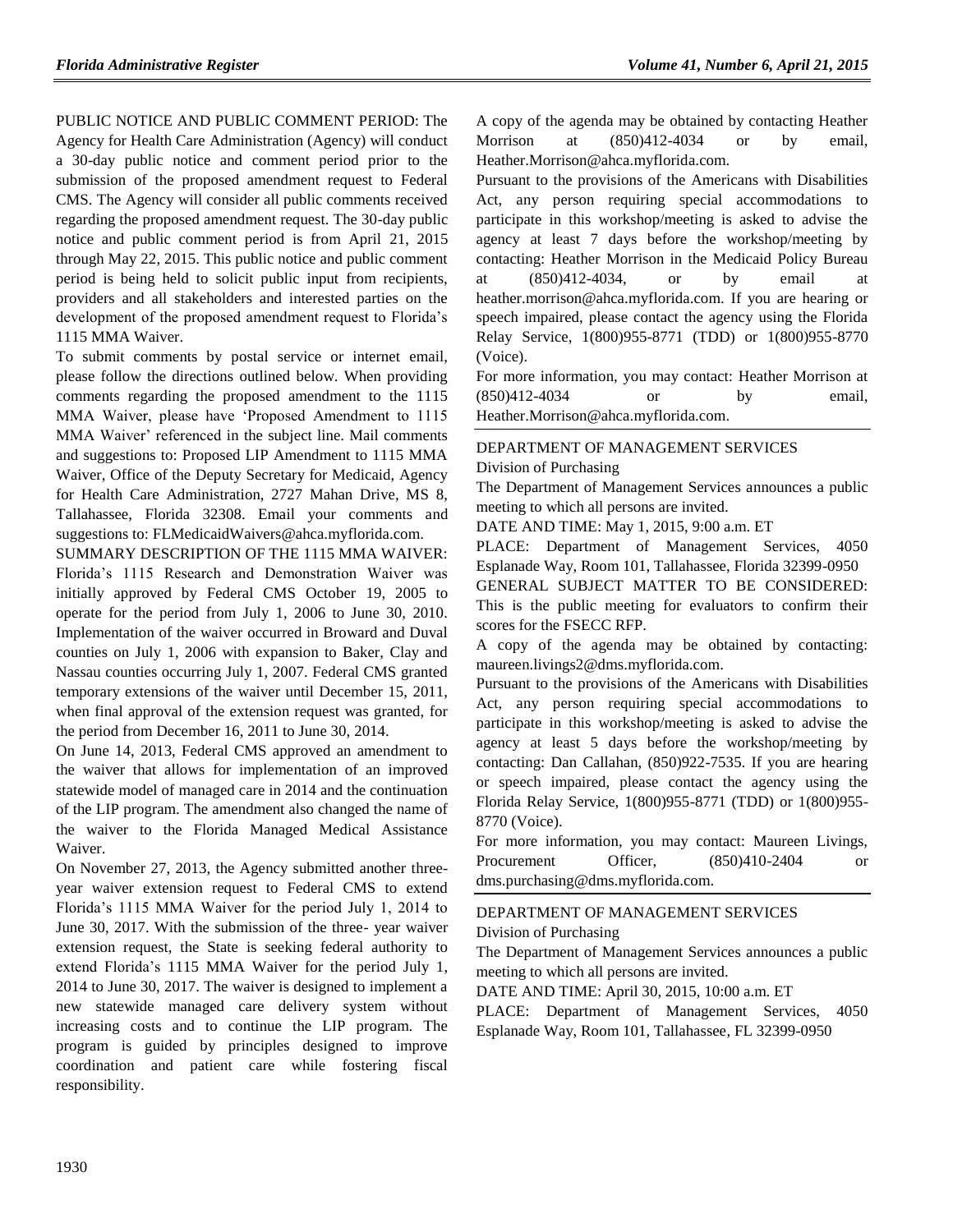PUBLIC NOTICE AND PUBLIC COMMENT PERIOD: The

Agency for Health Care Administration (Agency) will conduct a 30-day public notice and comment period prior to the submission of the proposed amendment request to Federal CMS. The Agency will consider all public comments received regarding the proposed amendment request. The 30-day public notice and public comment period is from April 21, 2015 through May 22, 2015. This public notice and public comment period is being held to solicit public input from recipients, providers and all stakeholders and interested parties on the development of the proposed amendment request to Florida's 1115 MMA Waiver.

To submit comments by postal service or internet email, please follow the directions outlined below. When providing comments regarding the proposed amendment to the 1115 MMA Waiver, please have 'Proposed Amendment to 1115 MMA Waiver' referenced in the subject line. Mail comments and suggestions to: Proposed LIP Amendment to 1115 MMA Waiver, Office of the Deputy Secretary for Medicaid, Agency for Health Care Administration, 2727 Mahan Drive, MS 8, Tallahassee, Florida 32308. Email your comments and suggestions to: [FLMedicaidWaivers@ahca.myflorida.com.](mailto:FLMedicaidWaivers@ahca.myflorida.com)

SUMMARY DESCRIPTION OF THE 1115 MMA WAIVER: Florida's 1115 Research and Demonstration Waiver was initially approved by Federal CMS October 19, 2005 to operate for the period from July 1, 2006 to June 30, 2010. Implementation of the waiver occurred in Broward and Duval counties on July 1, 2006 with expansion to Baker, Clay and Nassau counties occurring July 1, 2007. Federal CMS granted temporary extensions of the waiver until December 15, 2011, when final approval of the extension request was granted, for the period from December 16, 2011 to June 30, 2014.

On June 14, 2013, Federal CMS approved an amendment to the waiver that allows for implementation of an improved statewide model of managed care in 2014 and the continuation of the LIP program. The amendment also changed the name of the waiver to the Florida Managed Medical Assistance Waiver.

On November 27, 2013, the Agency submitted another threeyear waiver extension request to Federal CMS to extend Florida's 1115 MMA Waiver for the period July 1, 2014 to June 30, 2017. With the submission of the three- year waiver extension request, the State is seeking federal authority to extend Florida's 1115 MMA Waiver for the period July 1, 2014 to June 30, 2017. The waiver is designed to implement a new statewide managed care delivery system without increasing costs and to continue the LIP program. The program is guided by principles designed to improve coordination and patient care while fostering fiscal responsibility.

A copy of the agenda may be obtained by contacting Heather Morrison at (850)412-4034 or by email, [Heather.Morrison@ahca.myflorida.com.](mailto:Heather.Morrison@ahca.myflorida.com)

Pursuant to the provisions of the Americans with Disabilities Act, any person requiring special accommodations to participate in this workshop/meeting is asked to advise the agency at least 7 days before the workshop/meeting by contacting: Heather Morrison in the Medicaid Policy Bureau at (850)412-4034, or by email at [heather.morrison@ahca.myflorida.com.](mailto:heather.morrison@ahca.myflorida.com) If you are hearing or speech impaired, please contact the agency using the Florida Relay Service, 1(800)955-8771 (TDD) or 1(800)955-8770 (Voice).

For more information, you may contact: Heather Morrison at (850)412-4034 or by email, [Heather.Morrison@ahca.myflorida.com.](mailto:Heather.Morrison@ahca.myflorida.com)

### [DEPARTMENT OF MANAGEMENT SERVICES](https://www.flrules.org/gateway/department.asp?id=60)

[Division of Purchasing](https://www.flrules.org/gateway/organization.asp?id=220)

The Department of Management Services announces a public meeting to which all persons are invited.

DATE AND TIME: May 1, 2015, 9:00 a.m. ET

PLACE: Department of Management Services, 4050 Esplanade Way, Room 101, Tallahassee, Florida 32399-0950

GENERAL SUBJECT MATTER TO BE CONSIDERED: This is the public meeting for evaluators to confirm their scores for the FSECC RFP.

A copy of the agenda may be obtained by contacting: [maureen.livings2@dms.myflorida.com.](mailto:maureen.livings2@dms.myflorida.com)

Pursuant to the provisions of the Americans with Disabilities Act, any person requiring special accommodations to participate in this workshop/meeting is asked to advise the agency at least 5 days before the workshop/meeting by contacting: Dan Callahan, (850)922-7535. If you are hearing or speech impaired, please contact the agency using the Florida Relay Service, 1(800)955-8771 (TDD) or 1(800)955- 8770 (Voice).

For more information, you may contact: Maureen Livings, Procurement Officer,  $(850)410-2404$  or [dms.purchasing@dms.myflorida.com.](mailto:dms.purchasing@dms.myflorida.com)

### [DEPARTMENT OF MANAGEMENT SERVICES](https://www.flrules.org/gateway/department.asp?id=60)

[Division of Purchasing](https://www.flrules.org/gateway/organization.asp?id=220)

The Department of Management Services announces a public meeting to which all persons are invited.

DATE AND TIME: April 30, 2015, 10:00 a.m. ET

PLACE: Department of Management Services, 4050 Esplanade Way, Room 101, Tallahassee, FL 32399-0950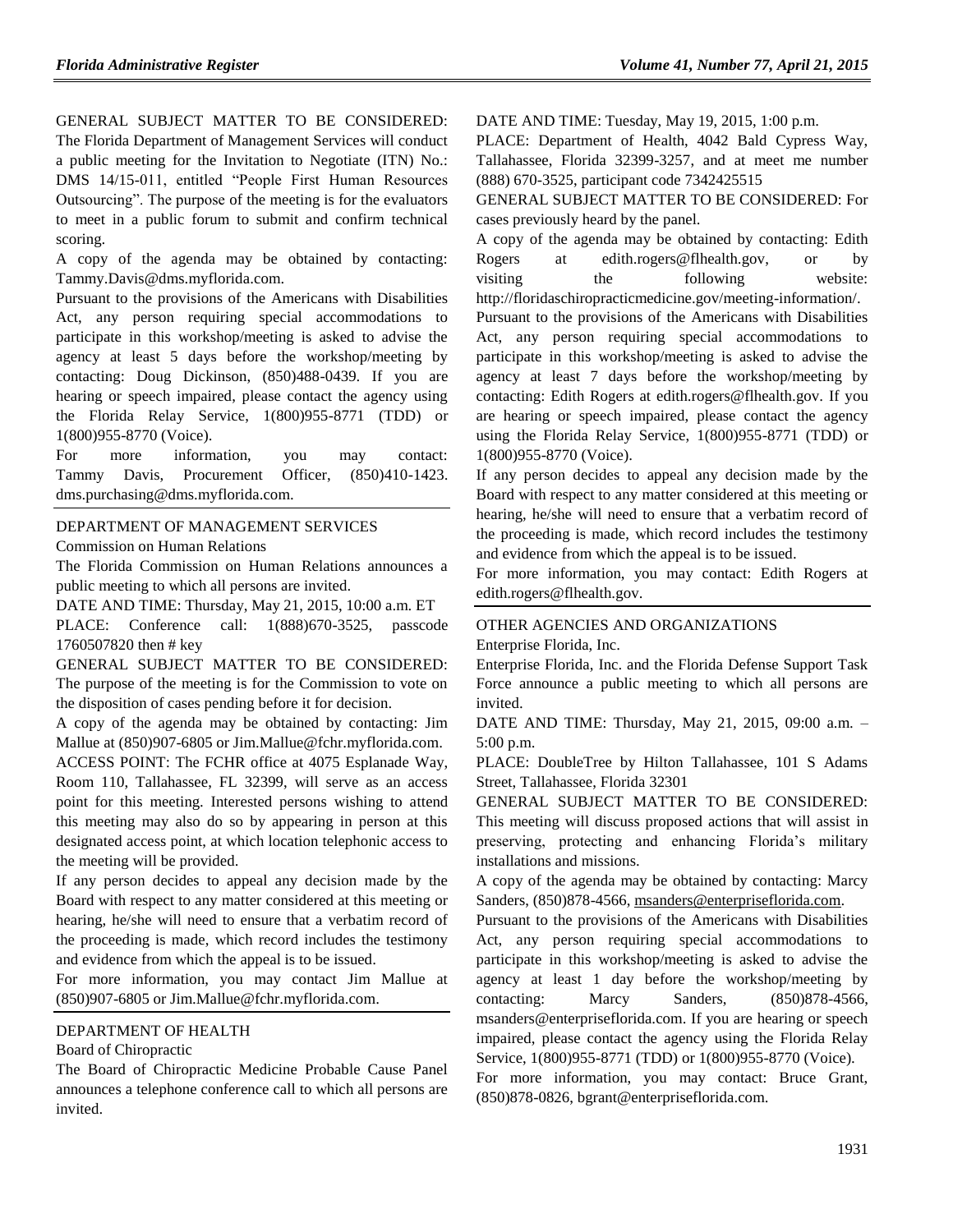GENERAL SUBJECT MATTER TO BE CONSIDERED: The Florida Department of Management Services will conduct a public meeting for the Invitation to Negotiate (ITN) No.: DMS 14/15-011, entitled "People First Human Resources Outsourcing". The purpose of the meeting is for the evaluators to meet in a public forum to submit and confirm technical scoring.

A copy of the agenda may be obtained by contacting: [Tammy.Davis@dms.myflorida.com.](mailto:Tammy.Davis@dms.myflorida.com)

Pursuant to the provisions of the Americans with Disabilities Act, any person requiring special accommodations to participate in this workshop/meeting is asked to advise the agency at least 5 days before the workshop/meeting by contacting: Doug Dickinson, (850)488-0439. If you are hearing or speech impaired, please contact the agency using the Florida Relay Service, 1(800)955-8771 (TDD) or 1(800)955-8770 (Voice).

For more information, you may contact: Tammy Davis, Procurement Officer, (850)410-1423. [dms.purchasing@dms.myflorida.com.](mailto:dms.purchasing@dms.myflorida.com)

#### [DEPARTMENT OF MANAGEMENT SERVICES](https://www.flrules.org/gateway/department.asp?id=60)

[Commission on Human Relations](https://www.flrules.org/gateway/organization.asp?id=245)

The Florida Commission on Human Relations announces a public meeting to which all persons are invited.

DATE AND TIME: Thursday, May 21, 2015, 10:00 a.m. ET

PLACE: Conference call: 1(888)670-3525, passcode 1760507820 then # key

GENERAL SUBJECT MATTER TO BE CONSIDERED: The purpose of the meeting is for the Commission to vote on the disposition of cases pending before it for decision.

A copy of the agenda may be obtained by contacting: Jim Mallue at (850)907-6805 or [Jim.Mallue@fchr.myflorida.com.](mailto:Jim.Mallue@fchr.myflorida.com)

ACCESS POINT: The FCHR office at 4075 Esplanade Way, Room 110, Tallahassee, FL 32399, will serve as an access point for this meeting. Interested persons wishing to attend this meeting may also do so by appearing in person at this designated access point, at which location telephonic access to the meeting will be provided.

If any person decides to appeal any decision made by the Board with respect to any matter considered at this meeting or hearing, he/she will need to ensure that a verbatim record of the proceeding is made, which record includes the testimony and evidence from which the appeal is to be issued.

For more information, you may contact Jim Mallue at (850)907-6805 or [Jim.Mallue@fchr.myflorida.com.](mailto:Jim.Mallue@fchr.myflorida.com)

#### [DEPARTMENT OF HEALTH](https://www.flrules.org/gateway/department.asp?id=64)

#### [Board of Chiropractic](https://www.flrules.org/gateway/organization.asp?id=311)

The Board of Chiropractic Medicine Probable Cause Panel announces a telephone conference call to which all persons are invited.

DATE AND TIME: Tuesday, May 19, 2015, 1:00 p.m.

PLACE: Department of Health, 4042 Bald Cypress Way, Tallahassee, Florida 32399-3257, and at meet me number (888) 670-3525, participant code 7342425515

GENERAL SUBJECT MATTER TO BE CONSIDERED: For cases previously heard by the panel.

A copy of the agenda may be obtained by contacting: Edith Rogers at [edith.rogers@flhealth.gov,](mailto:edith.rogers@flhealth.gov) or by visiting the following website: [http://floridaschiropracticmedicine.gov/meeting-information/.](http://floridaschiropracticmedicine.gov/meeting-information/) Pursuant to the provisions of the Americans with Disabilities Act, any person requiring special accommodations to participate in this workshop/meeting is asked to advise the agency at least 7 days before the workshop/meeting by contacting: Edith Rogers at [edith.rogers@flhealth.gov.](mailto:edith.rogers@flhealth.gov) If you are hearing or speech impaired, please contact the agency using the Florida Relay Service, 1(800)955-8771 (TDD) or 1(800)955-8770 (Voice).

If any person decides to appeal any decision made by the Board with respect to any matter considered at this meeting or hearing, he/she will need to ensure that a verbatim record of the proceeding is made, which record includes the testimony and evidence from which the appeal is to be issued.

For more information, you may contact: Edith Rogers at [edith.rogers@flhealth.gov.](mailto:edith.rogers@flhealth.gov)

### [OTHER AGENCIES AND ORGANIZATIONS](https://www.flrules.org/gateway/department.asp?id=1000)

[Enterprise Florida, Inc.](https://www.flrules.org/gateway/organization.asp?id=680)

Enterprise Florida, Inc. and the Florida Defense Support Task Force announce a public meeting to which all persons are invited.

DATE AND TIME: Thursday, May 21, 2015, 09:00 a.m. – 5:00 p.m.

PLACE: DoubleTree by Hilton Tallahassee, 101 S Adams Street, Tallahassee, Florida 32301

GENERAL SUBJECT MATTER TO BE CONSIDERED: This meeting will discuss proposed actions that will assist in preserving, protecting and enhancing Florida's military installations and missions.

A copy of the agenda may be obtained by contacting: Marcy Sanders, (850)878-4566[, msanders@enterpriseflorida.com.](mailto:msanders@enterpriseflorida.com)

Pursuant to the provisions of the Americans with Disabilities Act, any person requiring special accommodations to participate in this workshop/meeting is asked to advise the agency at least 1 day before the workshop/meeting by contacting: Marcy Sanders, (850)878-4566, [msanders@enterpriseflorida.com.](mailto:msanders@enterpriseflorida.com) If you are hearing or speech impaired, please contact the agency using the Florida Relay Service, 1(800)955-8771 (TDD) or 1(800)955-8770 (Voice).

For more information, you may contact: Bruce Grant, (850)878-0826, [bgrant@enterpriseflorida.com.](mailto:bgrant@enterpriseflorida.com)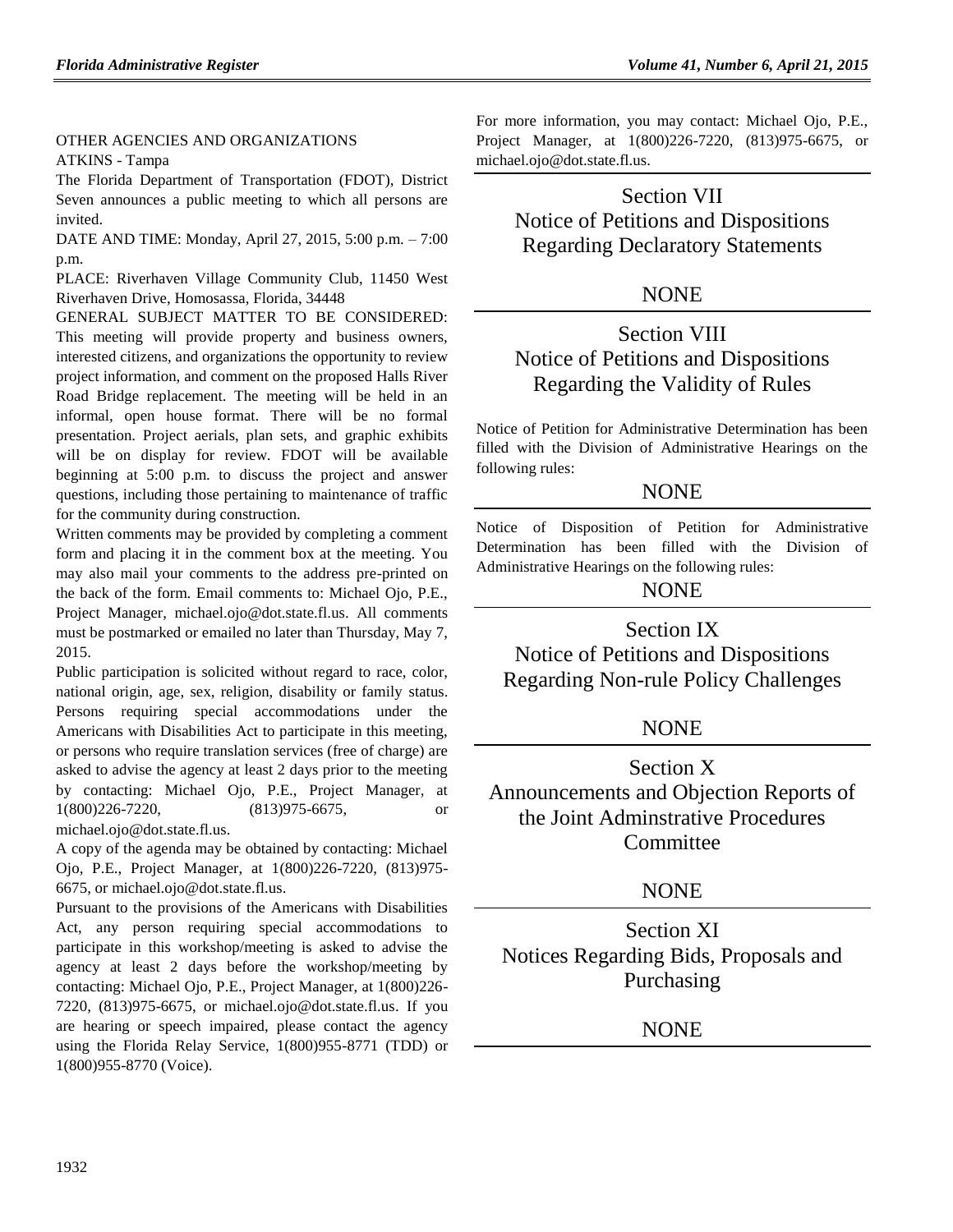#### [OTHER AGENCIES AND ORGANIZATIONS](https://www.flrules.org/gateway/department.asp?id=1000) [ATKINS -](https://www.flrules.org/gateway/organization.asp?id=1002) Tampa

The Florida Department of Transportation (FDOT), District Seven announces a public meeting to which all persons are invited.

DATE AND TIME: Monday, April 27, 2015, 5:00 p.m. – 7:00 p.m.

PLACE: Riverhaven Village Community Club, 11450 West Riverhaven Drive, Homosassa, Florida, 34448

GENERAL SUBJECT MATTER TO BE CONSIDERED: This meeting will provide property and business owners, interested citizens, and organizations the opportunity to review project information, and comment on the proposed Halls River Road Bridge replacement. The meeting will be held in an informal, open house format. There will be no formal presentation. Project aerials, plan sets, and graphic exhibits will be on display for review. FDOT will be available beginning at 5:00 p.m. to discuss the project and answer questions, including those pertaining to maintenance of traffic for the community during construction.

Written comments may be provided by completing a comment form and placing it in the comment box at the meeting. You may also mail your comments to the address pre-printed on the back of the form. Email comments to: Michael Ojo, P.E., Project Manager, [michael.ojo@dot.state.fl.us.](mailto:michael.ojo@dot.state.fl.us) All comments must be postmarked or emailed no later than Thursday, May 7, 2015.

Public participation is solicited without regard to race, color, national origin, age, sex, religion, disability or family status. Persons requiring special accommodations under the Americans with Disabilities Act to participate in this meeting, or persons who require translation services (free of charge) are asked to advise the agency at least 2 days prior to the meeting by contacting: Michael Ojo, P.E., Project Manager, at 1(800)226-7220, (813)975-6675, or [michael.ojo@dot.state.fl.us.](mailto:michael.ojo@dot.state.fl.us)

A copy of the agenda may be obtained by contacting: Michael Ojo, P.E., Project Manager, at 1(800)226-7220, (813)975- 6675, or [michael.ojo@dot.state.fl.us.](mailto:michael.ojo@dot.state.fl.us)

Pursuant to the provisions of the Americans with Disabilities Act, any person requiring special accommodations to participate in this workshop/meeting is asked to advise the agency at least 2 days before the workshop/meeting by contacting: Michael Ojo, P.E., Project Manager, at 1(800)226- 7220, (813)975-6675, or [michael.ojo@dot.state.fl.us.](mailto:michael.ojo@dot.state.fl.us) If you are hearing or speech impaired, please contact the agency using the Florida Relay Service, 1(800)955-8771 (TDD) or 1(800)955-8770 (Voice).

For more information, you may contact: Michael Ojo, P.E., Project Manager, at 1(800)226-7220, (813)975-6675, or [michael.ojo@dot.state.fl.us.](mailto:michael.ojo@dot.state.fl.us)

Section VII Notice of Petitions and Dispositions Regarding Declaratory Statements

# **NONE**

# Section VIII Notice of Petitions and Dispositions Regarding the Validity of Rules

Notice of Petition for Administrative Determination has been filled with the Division of Administrative Hearings on the following rules:

# **NONE**

Notice of Disposition of Petition for Administrative Determination has been filled with the Division of Administrative Hearings on the following rules:

# **NONE**

Section IX Notice of Petitions and Dispositions Regarding Non-rule Policy Challenges

# **NONE**

Section X Announcements and Objection Reports of the Joint Adminstrative Procedures Committee

# **NONE**

Section XI Notices Regarding Bids, Proposals and Purchasing

NONE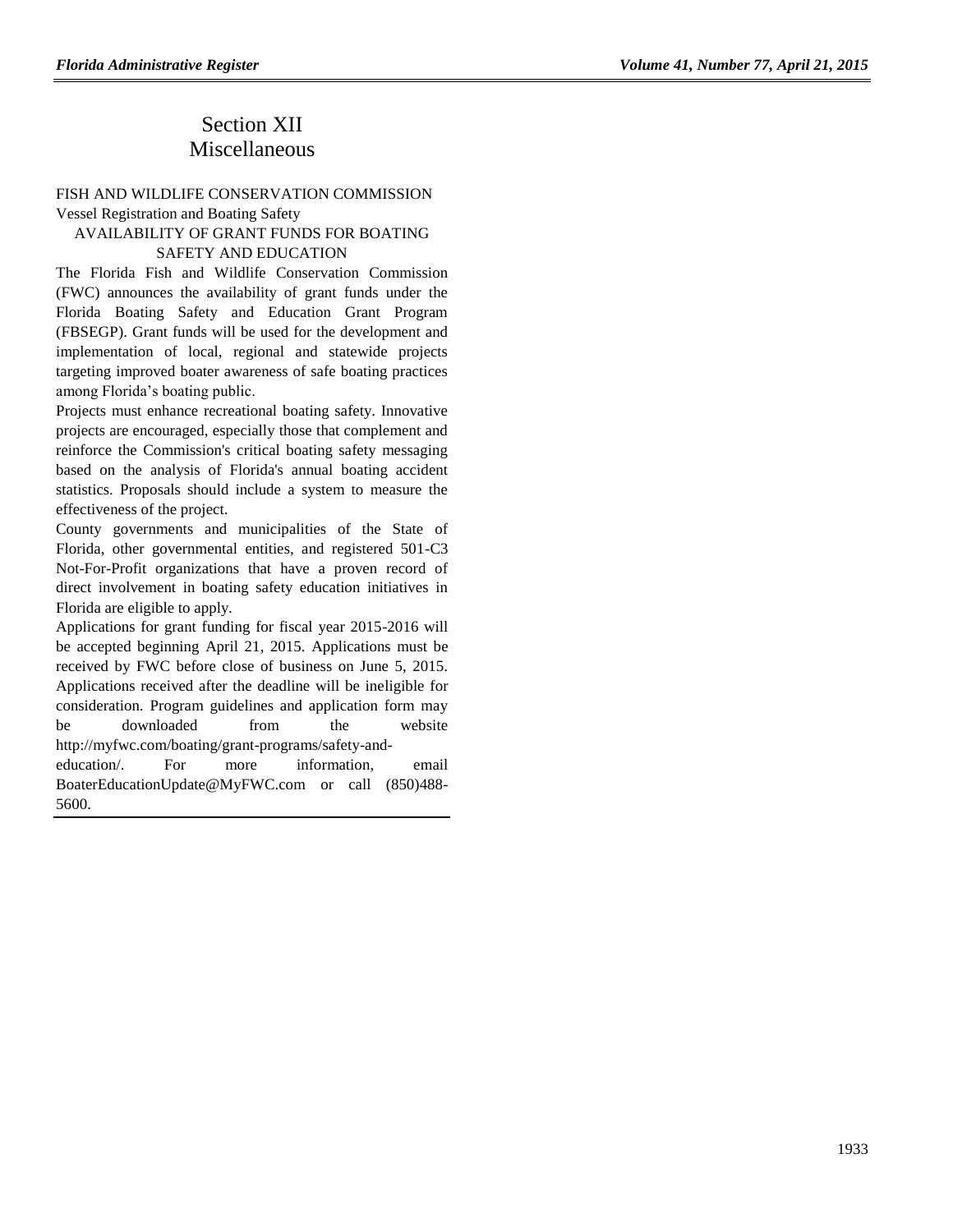# Section XII Miscellaneous

#### [FISH AND WILDLIFE CONSERVATION COMMISSION](https://www.flrules.org/gateway/department.asp?id=68) [Vessel Registration and Boating Safety](https://www.flrules.org/gateway/organization.asp?id=350)

# AVAILABILITY OF GRANT FUNDS FOR BOATING

### SAFETY AND EDUCATION

The Florida Fish and Wildlife Conservation Commission (FWC) announces the availability of grant funds under the Florida Boating Safety and Education Grant Program (FBSEGP). Grant funds will be used for the development and implementation of local, regional and statewide projects targeting improved boater awareness of safe boating practices among Florida's boating public.

Projects must enhance recreational boating safety. Innovative projects are encouraged, especially those that complement and reinforce the Commission's critical boating safety messaging based on the analysis of Florida's annual boating accident statistics. Proposals should include a system to measure the effectiveness of the project.

County governments and municipalities of the State of Florida, other governmental entities, and registered 501-C3 Not-For-Profit organizations that have a proven record of direct involvement in boating safety education initiatives in Florida are eligible to apply.

Applications for grant funding for fiscal year 2015-2016 will be accepted beginning April 21, 2015. Applications must be received by FWC before close of business on June 5, 2015. Applications received after the deadline will be ineligible for consideration. Program guidelines and application form may be downloaded from the website [http://myfwc.com/boating/grant-programs/safety-and-](http://myfwc.com/boating/grant-programs/safety-and-education/)

[education/.](http://myfwc.com/boating/grant-programs/safety-and-education/) For more information, email [BoaterEducationUpdate@MyFWC.com](mailto:BoaterEducationUpdate@MyFWC.com) or call (850)488- 5600.